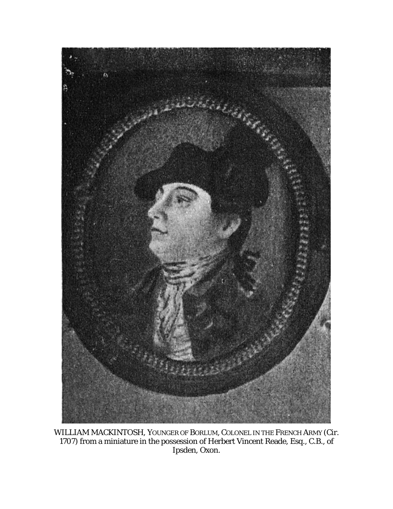

WILLIAM MACKINTOSH, YOUNGER OF BORLUM, COLONEL IN THE FRENCH ARMY (Cir. 1707) from a miniature in the possession of Herbert Vincent Reade, Esq., C.B., of Ipsden, Oxon.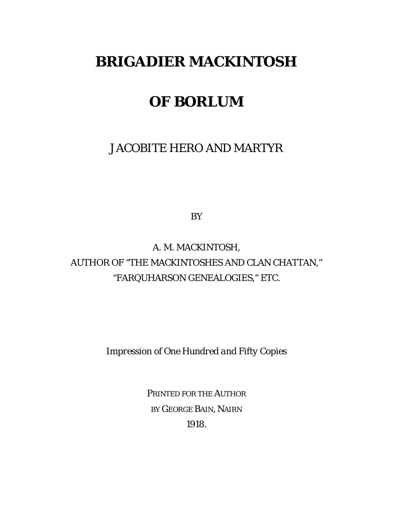# **BRIGADIER MACKINTOSH**

# **OF BORLUM**

JACOBITE HERO AND MARTYR

BY

A. M. MACKINTOSH, AUTHOR OF "THE MACKINTOSHES AND CLAN CHATTAN," "FARQUHARSON GENEALOGIES," ETC.

*Impression of One Hundred and Fifty Copies*

PRINTED FOR THE AUTHOR BY GEORGE BAIN, NAIRN 1918.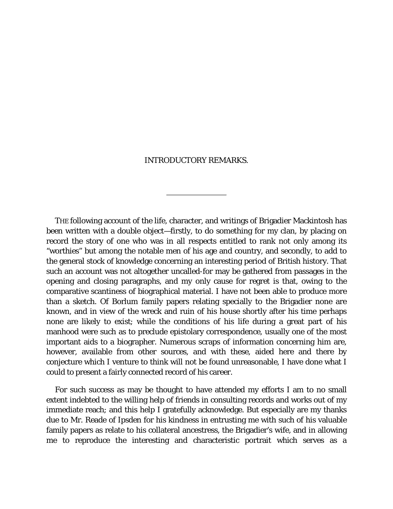#### INTRODUCTORY REMARKS.

THE following account of the life, character, and writings of Brigadier Mackintosh has been written with a double object—firstly, to do something for my clan, by placing on record the story of one who was in all respects entitled to rank not only among its "worthies" but among the notable men of his age and country, and secondly, to add to the general stock of knowledge concerning an interesting period of British history. That such an account was not altogether uncalled-for may be gathered from passages in the opening and closing paragraphs, and my only cause for regret is that, owing to the comparative scantiness of biographical material. I have not been able to produce more than a sketch. Of Borlum family papers relating specially to the Brigadier none are known, and in view of the wreck and ruin of his house shortly after his time perhaps none are likely to exist; while the conditions of his life during a great part of his manhood were such as to preclude epistolary correspondence, usually one of the most important aids to a biographer. Numerous scraps of information concerning him are, however, available from other sources, and with these, aided here and there by conjecture which I venture to think will not be found unreasonable, I have done what I could to present a fairly connected record of his career.

For such success as may be thought to have attended my efforts I am to no small extent indebted to the willing help of friends in consulting records and works out of my immediate reach; and this help I gratefully acknowledge. But especially are my thanks due to Mr. Reade of Ipsden for his kindness in entrusting me with such of his valuable family papers as relate to his collateral ancestress, the Brigadier's wife, and in allowing me to reproduce the interesting and characteristic portrait which serves as a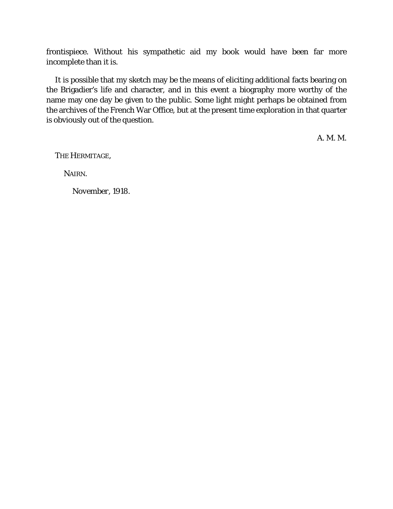frontispiece. Without his sympathetic aid my book would have been far more incomplete than it is.

It is possible that my sketch may be the means of eliciting additional facts bearing on the Brigadier's life and character, and in this event a biography more worthy of the name may one day be given to the public. Some light might perhaps be obtained from the archives of the French War Office, but at the present time exploration in that quarter is obviously out of the question.

A. M. M.

THE HERMITAGE,

NAIRN.

*November,* 1918.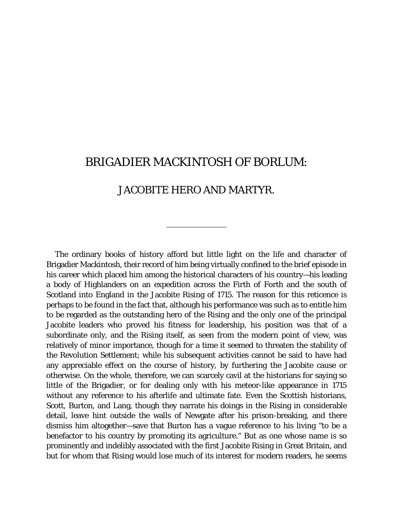## BRIGADIER MACKINTOSH OF BORLUM:

### JACOBITE HERO AND MARTYR.

The ordinary books of history afford but little light on the life and character of Brigadier Mackintosh, their record of him being virtually confined to the brief episode in his career which placed him among the historical characters of his country—his leading a body of Highlanders on an expedition across the Firth of Forth and the south of Scotland into England in the Jacobite Rising of 1715. The reason for this reticence is perhaps to be found in the fact that, although his performance was such as to entitle him to be regarded as the outstanding hero of the Rising and the only one of the principal Jacobite leaders who proved his fitness for leadership, his position was that of a subordinate only, and the Rising itself, as seen from the modern point of view, was relatively of minor importance, though for a time it seemed to threaten the stability of the Revolution Settlement; while his subsequent activities cannot be said to have had any appreciable effect on the course of history, by furthering the Jacobite cause or otherwise. On the whole, therefore, we can scarcely cavil at the historians for saying so little of the Brigadier, or for dealing only with his meteor-like appearance in 1715 without any reference to his afterlife and ultimate fate. Even the Scottish historians, Scott, Burton, and Lang, though they narrate his doings in the Rising in considerable detail, leave hint outside the walls of Newgate after his prison-breaking, and there dismiss him altogether—save that Burton has a vague reference to his living "to be a benefactor to his country by promoting its agriculture." But as one whose name is so prominently and indelibly associated with the first Jacobite Rising in Great Britain, and but for whom that Rising would lose much of its interest for modern readers, he seems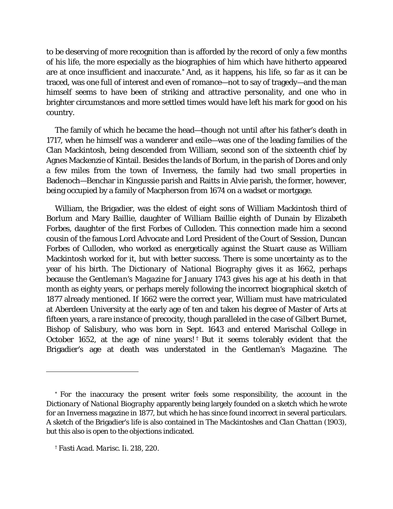to be deserving of more recognition than is afforded by the record of only a few months of his life, the more especially as the biographies of him which have hitherto appeared are at once insufficient and inaccurate.[\\*](#page-5-0) And, as it happens, his life, so far as it can be traced, was one full of interest and even of romance—not to say of tragedy—and the man himself seems to have been of striking and attractive personality, and one who in brighter circumstances and more settled times would have left his mark for good on his country.

The family of which he became the head—though not until after his father's death in 1717, when he himself was a wanderer and exile—was one of the leading families of the Clan Mackintosh, being descended from William, second son of the sixteenth chief by Agnes Mackenzie of Kintail. Besides the lands of Borlum, in the parish of Dores and only a few miles from the town of Inverness, the family had two small properties in Badenoch—Benchar in Kingussie parish and Raitts in Alvie parish, the former, however, being occupied by a family of Macpherson from 1674 on a wadset or mortgage.

William, the Brigadier, was the eldest of eight sons of William Mackintosh third of Borlum and Mary Baillie, daughter of William Baillie eighth of Dunain by Elizabeth Forbes, daughter of the first Forbes of Culloden. This connection made him a second cousin of the famous Lord Advocate and Lord President of the Court of Session, Duncan Forbes of Culloden, who worked as energetically against the Stuart cause as William Mackintosh worked for it, but with better success. There is some uncertainty as to the year of his birth. The *Dictionary of National Biography* gives it as 1662, perhaps because the *Gentleman's Magazine* for January 1743 gives his age at his death in that month as eighty years, or perhaps merely following the incorrect biographical sketch of 1877 already mentioned. If 1662 were the correct year, William must have matriculated at Aberdeen University at the early age of ten and taken his degree of Master of Arts at fifteen years, a rare instance of precocity, though paralleled in the case of Gilbert Burnet, Bishop of Salisbury, who was born in Sept. 1643 and entered Marischal College in October 1652, at the age of nine years! [†](#page-5-1) But it seems tolerably evident that the Brigadier's age at death was understated in the *Gentleman's Magazine.* The

<span id="page-5-0"></span><sup>\*</sup> For the inaccuracy the present writer feels some responsibility, the account in the *Dictionary of National Biography* apparently being largely founded on a sketch which he wrote for an Inverness magazine in 1877, but which he has since found incorrect in several particulars. A sketch of the Brigadier's life is also contained in *The Mackintoshes and Clan Chattan* (1903), but this also is open to the objections indicated.

<span id="page-5-1"></span><sup>†</sup> *Fasti Acad. Marisc.* Ii. 218, 220.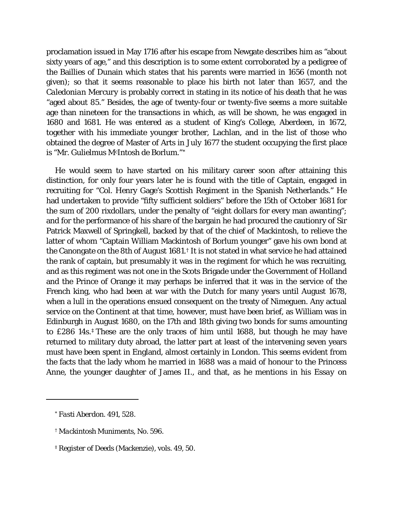proclamation issued in May 1716 after his escape from Newgate describes him as "about sixty years of age," and this description is to some extent corroborated by a pedigree of the Baillies of Dunain which states that his parents were married in 1656 (month not given); so that it seems reasonable to place his birth not later than 1657, and the *Caledonian Mercury* is probably correct in stating in its notice of his death that he was "aged about 85." Besides, the age of twenty-four or twenty-five seems a more suitable age than nineteen for the transactions in which, as will be shown, he was engaged in 1680 and 1681. He was entered as a student of King's College, Aberdeen, in 1672, together with his immediate younger brother, Lachlan, and in the list of those who obtained the degree of Master of Arts in July 1677 the student occupying the first place is "Mr. Gulielmus McIntosh de Borlum."[\\*](#page-6-0)

He would seem to have started on his military career soon after attaining this distinction, for only four years later he is found with the title of Captain, engaged in recruiting for "Col. Henry Gage's Scottish Regiment in the Spanish Netherlands." He had undertaken to provide "fifty sufficient soldiers" before the 15th of October 1681 for the sum of 200 rixdollars, under the penalty of "eight dollars for every man awanting"; and for the performance of his share of the bargain he had procured the cautionry of Sir Patrick Maxwell of Springkell, backed by that of the chief of Mackintosh, to relieve the latter of whom "Captain William Mackintosh of Borlum younger" gave his own bond at the Canongate on the 8th of August 1681.[†](#page-6-1) It is not stated in what service he had attained the rank of captain, but presumably it was in the regiment for which he was recruiting, and as this regiment was not one in the Scots Brigade under the Government of Holland and the Prince of Orange it may perhaps be inferred that it was in the service of the French king, who had been at war with the Dutch for many years until August 1678, when a lull in the operations ensued consequent on the treaty of Nimeguen. Any actual service on the Continent at that time, however, must have been brief, as William was in Edinburgh in August 1680, on the 17th and 18th giving two bonds for sums amounting to £286 14s.[‡](#page-6-2) These are the only traces of him until 1688, but though he may have returned to military duty abroad, the latter part at least of the intervening seven years must have been spent in England, almost certainly in London. This seems evident from the facts that the lady whom he married in 1688 was a maid of honour to the Princess Anne, the younger daughter of James II., and that, as he mentions in his *Essay* on

*<sup>\*</sup> Fasti Aberdon.* 491, 528.

<span id="page-6-0"></span><sup>†</sup> *Mackintosh Muniments*, No. 596.

<span id="page-6-2"></span><span id="page-6-1"></span><sup>‡</sup> *Register of Deeds* (Mackenzie), vols. 49, 50.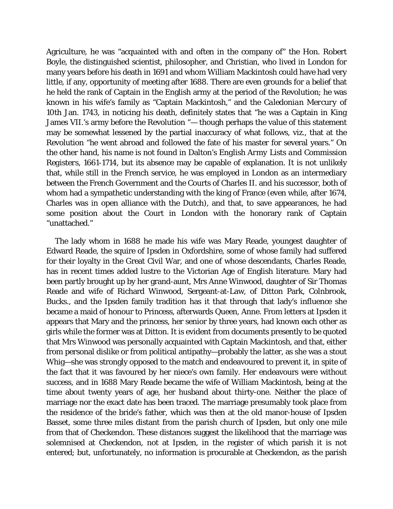Agriculture, he was "acquainted with and often in the company of" the Hon. Robert Boyle, the distinguished scientist, philosopher, and Christian, who lived in London for many years before his death in 1691 and whom William Mackintosh could have had very little, if any, opportunity of meeting after 1688. There are even grounds for a belief that he held the rank of Captain in the English army at the period of the Revolution; he was known in his wife's family as "Captain Mackintosh," and the *Caledonian Mercury* of 10th Jan. 1743, in noticing his death, definitely states that "he was a Captain in King James VII.'s army before the Revolution "— though perhaps the value of this statement may be somewhat lessened by the partial inaccuracy of what follows, viz., that at the Revolution "he went abroad and followed the fate of his master for several years." On the other hand, his name is not found in Dalton's *English Army Lists and Commission Registers, 1661-1714,* but its absence may be capable of explanation. It is not unlikely that, while still in the French service, he was employed in London as an intermediary between the French Government and the Courts of Charles II. and his successor, both of whom had a sympathetic understanding with the king of France (even while, after 1674, Charles was in open alliance with the Dutch), and that, to save appearances, he had some position about the Court in London with the honorary rank of Captain "unattached."

The lady whom in 1688 he made his wife was Mary Reade, youngest daughter of Edward Reade, the squire of Ipsden in Oxfordshire, some of whose family had suffered for their loyalty in the Great Civil War, and one of whose descendants, Charles Reade, has in recent times added lustre to the Victorian Age of English literature. Mary had been partly brought up by her grand-aunt, Mrs Anne Winwood, daughter of Sir Thomas Reade and wife of Richard Winwood, Sergeant-at-Law, of Ditton Park, Colnbrook, Bucks., and the Ipsden family tradition has it that through that lady's influence she became a maid of honour to Princess, afterwards Queen, Anne. From letters at Ipsden it appears that Mary and the princess, her senior by three years, had known each other as girls while the former was at Ditton. It is evident from documents presently to be quoted that Mrs Winwood was personally acquainted with Captain Mackintosh, and that, either from personal dislike or from political antipathy—probably the latter, as she was a stout Whig—she was strongly opposed to the match and endeavoured to prevent it, in spite of the fact that it was favoured by her niece's own family. Her endeavours were without success, and in 1688 Mary Reade became the wife of William Mackintosh, being at the time about twenty years of age, her husband about thirty-one. Neither the place of marriage nor the exact date has been traced. The marriage presumably took place from the residence of the bride's father, which was then at the old manor-house of Ipsden Basset, some three miles distant from the parish church of Ipsden, but only one mile from that of Checkendon. These distances suggest the likelihood that the marriage was solemnised at Checkendon, not at Ipsden, in the register of which parish it is not entered; but, unfortunately, no information is procurable at Checkendon, as the parish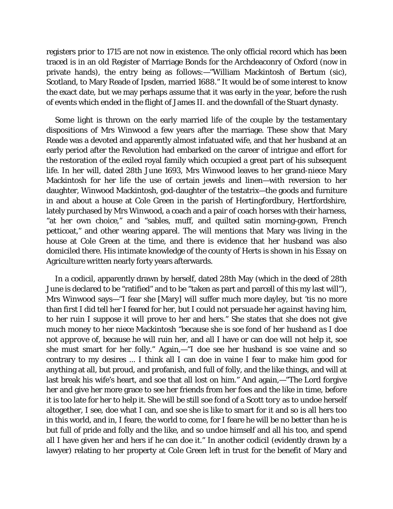registers prior to 1715 are not now in existence. The only official record which has been traced is in an old Register of Marriage Bonds for the Archdeaconry of Oxford (now in private hands), the entry being as follows:—"William Mackintosh of Bertum *(sic),* Scotland, to Mary Reade of Ipsden, married 1688." It would be of some interest to know the exact date, but we may perhaps assume that it was early in the year, before the rush of events which ended in the flight of James II. and the downfall of the Stuart dynasty.

Some light is thrown on the early married life of the couple by the testamentary dispositions of Mrs Winwood a few years after the marriage. These show that Mary Reade was a devoted and apparently almost infatuated wife, and that her husband at an early period after the Revolution had embarked on the career of intrigue and effort for the restoration of the exiled royal family which occupied a great part of his subsequent life. In her will, dated 28th June 1693, Mrs Winwood leaves to her grand-niece Mary Mackintosh for her life the use of certain jewels and linen—with reversion to her daughter, Winwood Mackintosh, god-daughter of the testatrix—the goods and furniture in and about a house at Cole Green in the parish of Hertingfordbury, Hertfordshire, lately purchased by Mrs Winwood, a coach and a pair of coach horses with their harness, "at her own choice," and "sables, muff, and quilted satin morning-gown, French petticoat," and other wearing apparel. The will mentions that Mary was living in the house at Cole Green at the time, and there is evidence that her husband was also domiciled there. His intimate knowledge of the county of Herts is shown in his *Essay* on Agriculture written nearly forty years afterwards.

In a codicil, apparently drawn by herself, dated 28th May (which in the deed of 28th June is declared to be "ratified" and to be "taken as part and parcell of this my last will"), Mrs Winwood says—"I fear she [Mary] will suffer much more dayley, but 'tis no more than first I did tell her I feared for her, but I *could not persuade her against having him,* to her ruin I suppose it will prove to her and hers." She states that she does not give much money to her niece Mackintosh "because she is *soe fond of her husband as I doe not approve of,* because he will ruin her, and all I have or can doe will not help it, soe she must smart for her folly." Again,—"I doe see her husband is soe vaine and so contrary to my desires ... I think all I can doe in vaine I fear to make him good for anything at all, but proud, and profanish, and full of folly, and the like things, and will at last break his wife's heart, and soe that all lost on him." And again,—"The Lord forgive her and give her more grace to see her friends from her foes and the like in time, before it is too late for her to help it. She will be still soe fond of a *Scott tory* as to undoe herself altogether, I see, doe what I can, and soe she is like to smart for it and so is all hers too in this world, and in, I feare, the world to come, for I feare he will be no better than he is but full of pride and folly and the like, and so undoe himself and all his too, and spend all I have given her and hers if he can doe it." In another codicil (evidently drawn by a lawyer) relating to her property at Cole Green left in trust for the benefit of Mary and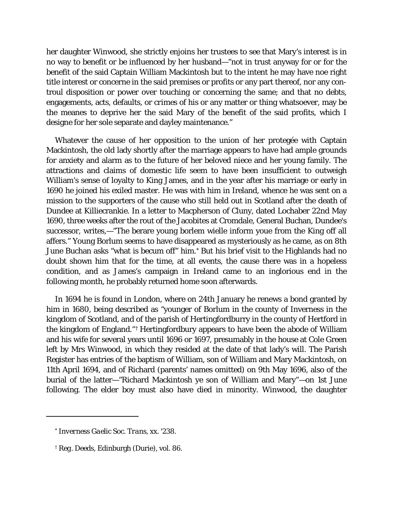her daughter Winwood, she strictly enjoins her trustees to see that Mary's interest is in no way to benefit or be influenced by her husband—"not in trust anyway for or for the benefit of the said Captain William Mackintosh but to the intent he may have noe right title interest or concerne in the said premises or profits or any part thereof, nor any controul disposition or power over touching or concerning the same; and that no debts, engagements, acts, defaults, or *crimes* of his or any matter or thing whatsoever, may be the meanes to deprive her the said Mary of the benefit of the said profits, which I designe for her sole separate and dayley maintenance."

Whatever the cause of her opposition to the union of her protegée with Captain Mackintosh, the old lady shortly after the marriage appears to have had ample grounds for anxiety and alarm as to the future of her beloved niece and her young family. The attractions and claims of domestic life seem to have been insufficient to outweigh William's sense of loyalty to King James, and in the year after his marriage or early in 1690 he joined his exiled master. He was with him in Ireland, whence he was sent on a mission to the supporters of the cause who still held out in Scotland after the death of Dundee at Killiecrankie. In a letter to Macpherson of Cluny, dated Lochaber 22nd May 1690, three weeks after the rout of the Jacobites at Cromdale, General Buchan, Dundee's successor, writes,—"The berare young borlem wielle inform youe from the King off all affers." Young Borlum seems to have disappeared as mysteriously as he came, as on 8th June Buchan asks "what is becum off" him.[\\*](#page-9-0) But his brief visit to the Highlands had no doubt shown him that for the time, at all events, the cause there was in a hopeless condition, and as James's campaign in Ireland came to an inglorious end in the following month, he probably returned home soon afterwards.

In 1694 he is found in London, where on 24th January he renews a bond granted by him in 1680, being described as "younger of Borlum in the county of Inverness in the kingdom of Scotland, and of the parish of Hertingfordburry in the county of Hertford in the kingdom of England."[†](#page-9-1) Hertingfordbury appears to have been the abode of William and his wife for several years until 1696 or 1697, presumably in the house at Cole Green left by Mrs Winwood, in which they resided at the date of that lady's will. The Parish Register has entries of the baptism of William, son of William and Mary Mackintosh, on 11th April 1694, and of Richard (parents' names omitted) on 9th May 1696, also of the burial of the latter—"Richard Mackintosh ye son of William and Mary"—on 1st June following. The elder boy must also have died in minority. Winwood, the daughter

I

<sup>\*</sup> *Inverness Gaelic Soc. Trans,* xx. '238.

<span id="page-9-1"></span><span id="page-9-0"></span><sup>†</sup> *Reg*. *Deeds,* Edinburgh (Durie), vol. 86.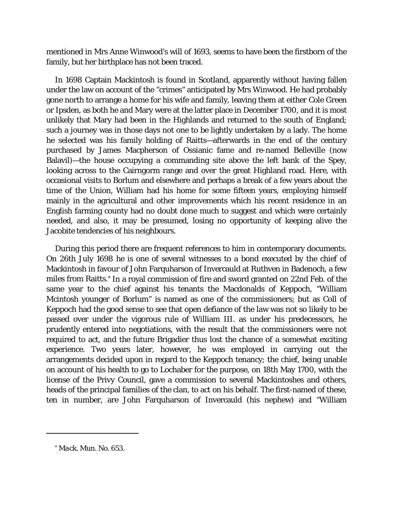mentioned in Mrs Anne Winwood's will of 1693, seems to have been the firstborn of the family, but her birthplace has not been traced.

In 1698 Captain Mackintosh is found in Scotland, apparently without having fallen under the law on account of the "crimes" anticipated by Mrs Winwood. He had probably gone north to arrange a home for his wife and family, leaving them at either Cole Green or Ipsden, as both he and Mary were at the latter place in December 1700, and it is most unlikely that Mary had been in the Highlands and returned to the south of England; such a journey was in those days not one to be lightly undertaken by a lady. The home he selected was his family holding of Raitts—afterwards in the end of the century purchased by James Macpherson of Ossianic fame and re-named Belleville (now Balavil)—the house occupying a commanding site above the left bank of the Spey, looking across to the Cairngorm range and over the great Highland road. Here, with occasional visits to Borlum and elsewhere and perhaps a break of a few years about the time of the Union, William had his home for some fifteen years, employing himself mainly in the agricultural and other improvements which his recent residence in an English farming county had no doubt done much to suggest and which were certainly needed, and also, it may be presumed, losing no opportunity of keeping alive the Jacobite tendencies of his neighbours.

During this period there are frequent references to him in contemporary documents. On 26th July 1698 he is one of several witnesses to a bond executed by the chief of Mackintosh in favour of John Farquharson of Invercauld at Ruthven in Badenoch, a few miles from Raitts.[\\*](#page-10-0) In a royal commission of fire and sword granted on 22nd Feb. of the same year to the chief against his tenants the Macdonalds of Keppoch, "William Mcintosh younger of Borlum" is named as one of the commissioners; but as Coll of Keppoch had the good sense to see that open defiance of the law was not so likely to be passed over under the vigorous rule of William III. as under his predecessors, he prudently entered into negotiations, with the result that the commissioners were not required to act, and the future Brigadier thus lost the chance of a somewhat exciting experience. Two years later, however, he was employed in carrying out the arrangements decided upon in regard to the Keppoch tenancy; the chief, being unable on account of his health to go to Lochaber for the purpose, on 18th May 1700, with the license of the Privy Council, gave a commission to several Mackintoshes and others, heads of the principal families of the clan, to act on his behalf. The first-named of these, ten in number, are John Farquharson of Invercauld (his nephew) and "William

<span id="page-10-1"></span><span id="page-10-0"></span><sup>\*</sup> *Mack. Mun.* No. 653.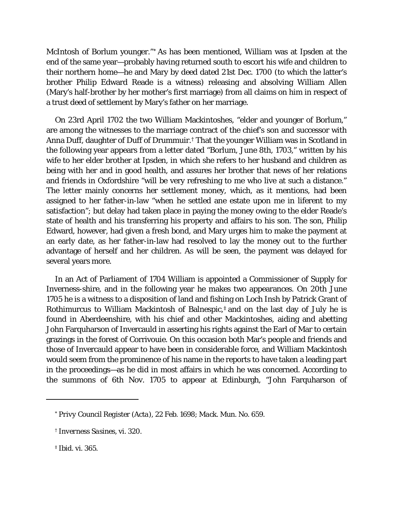McIntosh of Borlum younger."[\\*](#page-10-1) As has been mentioned, William was at Ipsden at the end of the same year—probably having returned south to escort his wife and children to their northern home—he and Mary by deed dated 21st Dec. 1700 (to which the latter's brother Philip Edward Reade is a witness) releasing and absolving William Allen (Mary's half-brother by her mother's first marriage) from all claims on him in respect of a trust deed of settlement by Mary's father on her marriage.

On 23rd April 1702 the two William Mackintoshes, "elder and younger of Borlum," are among the witnesses to the marriage contract of the chief's son and successor with Anna Duff, daughter of Duff of Drummuir.[†](#page-11-0) That the younger William was in Scotland in the following year appears from a letter dated "Borlum, June 8th, 1703," written by his wife to her elder brother at Ipsden, in which she refers to her husband and children as being with her and in good health, and assures her brother that news of her relations and friends in Oxfordshire "will be very refreshing to me who live at such a distance." The letter mainly concerns her settlement money, which, as it mentions, had been assigned to her father-in-law "when he settled ane estate upon me in liferent to my satisfaction"; but delay had taken place in paying the money owing to the elder Reade's state of health and his transferring his property and affairs to his son. The son, Philip Edward, however, had given a fresh bond, and Mary urges him to make the payment at an early date, as her father-in-law had resolved to lay the money out to the further advantage of herself and her children. As will be seen, the payment was delayed for several years more.

In an Act of Parliament of 1704 William is appointed a Commissioner of Supply for Inverness-shire, and in the following year he makes two appearances. On 20th June 1705 he is a witness to a disposition of land and fishing on Loch Insh by Patrick Grant of Rothimurcus to William Mackintosh of Balnespic, $\ddagger$  and on the last day of July he is found in Aberdeenshire, with his chief and other Mackintoshes, aiding and abetting John Farquharson of Invercauld in asserting his rights against the Earl of Mar to certain grazings in the forest of Corrivouie. On this occasion both Mar's people and friends and those of Invercauld appear to have been in considerable force, and William Mackintosh would seem from the prominence of his name in the reports to have taken a leading part in the proceedings—as he did in most affairs in which he was concerned. According to the summons of 6th Nov. 1705 to appear at Edinburgh, "John Farquharson of

<span id="page-11-1"></span>‡ *Ibid.* vi. 365.

<sup>\*</sup> *Privy Council Register (Acta),* 22 Feb. 1698; *Mack. Mun.* No. 659.

<span id="page-11-0"></span><sup>†</sup> *Inverness Sasines,* vi. 320.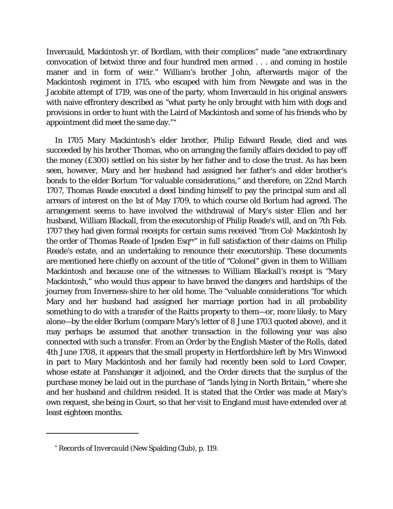Invercauld, Mackintosh yr. of Bordlam, with their complices" made "ane extraordinary convocation of betwixt three and four hundred men armed . . . and coming in hostile maner and in form of weir." William's brother John, afterwards major of the Mackintosh regiment in 1715, who escaped with him from Newgate and was in the Jacobite attempt of 1719, was one of the party, whom Invercauld in his original answers with naive effrontery described as "what party he only brought with him with dogs and provisions in order to hunt with the Laird of Mackintosh and some of his friends who by appointment did meet the same day."[\\*](#page-12-0)

In 1705 Mary Mackintosh's elder brother, Philip Edward Reade, died and was succeeded by his brother Thomas, who on arranging the family affairs decided to pay off the money (£300) settled on his sister by her father and to close the trust. As has been seen, however, Mary and her husband had assigned her father's and elder brother's bonds to the elder Borlum "for valuable considerations," and therefore, on 22nd March 1707, Thomas Reade executed a deed binding himself to pay the principal sum and all arrears of interest on the 1st of May 1709, to which course old Borlum had agreed. The arrangement seems to have involved the withdrawal of Mary's sister Ellen and her husband, William Blackall, from the executorship of Philip Reade's will, and on 7th Feb. 1707 they had given formal receipts for certain sums received "from *Coll.* Mackintosh by the order of Thomas Reade of Ipsden Esqre" in full satisfaction of their claims on Philip Reade's estate, and an undertaking to renounce their executorship. These documents are mentioned here chiefly on account of the title of "Colonel" given in them to William Mackintosh and because one of the witnesses to William Blackall's receipt is "Mary Mackintosh," who would thus appear to have braved the dangers and hardships of the journey from Inverness-shire to her old home. The "valuable considerations "for which Mary and her husband had assigned her marriage portion had in all probability something to do with a transfer of the Raitts property to them—or, more likely, to Mary alone—by the elder Borlum (compare Mary's letter of 8 June 1703 quoted above), and it may perhaps be assumed that another transaction in the following year was also connected with such a transfer. From an Order by the English Master of the Rolls, dated 4th June 1708, it appears that the small property in Hertfordshire left by Mrs Winwood in part to Mary Mackintosh and her family had recently been sold to Lord Cowper, whose estate at Panshanger it adjoined, and the Order directs that the surplus of the purchase money be laid out in the purchase of "lands lying in North Britain," where she and her husband and children resided. It is stated that the Order was made at Mary's own request, she being in Court, so that her visit to England must have extended over at least eighteen months.

<span id="page-12-0"></span><sup>\*</sup> *Records of Invercauld* (New Spalding Club), p. 119.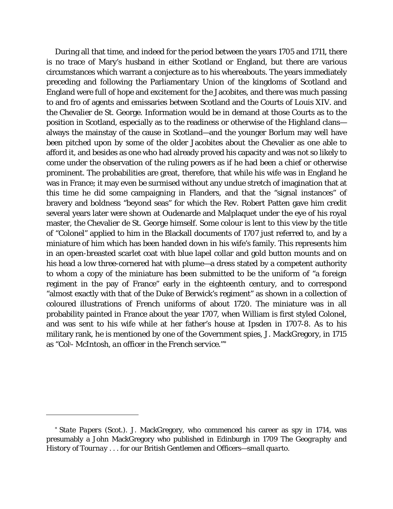During all that time, and indeed for the period between the years 1705 and 1711, there is no trace of Mary's husband in either Scotland or England, but there are various circumstances which warrant a conjecture as to his whereabouts. The years immediately preceding and following the Parliamentary Union of the kingdoms of Scotland and England were full of hope and excitement for the Jacobites, and there was much passing to and fro of agents and emissaries between Scotland and the Courts of Louis XIV. and the Chevalier de St. George. Information would be in demand at those Courts as to the position in Scotland, especially as to the readiness or otherwise of the Highland clans always the mainstay of the cause in Scotland—and the younger Borlum may well have been pitched upon by some of the older Jacobites about the Chevalier as one able to afford it, and besides as one who had already proved his capacity and was not so likely to come under the observation of the ruling powers as if he had been a chief or otherwise prominent. The probabilities are great, therefore, that while his wife was in England he was in France; it may even be surmised without any undue stretch of imagination that at this time he did some campaigning in Flanders, and that the "signal instances" of bravery and boldness "beyond seas" for which the Rev. Robert Patten gave him credit several years later were shown at Oudenarde and Malplaquet under the eye of his royal master, the Chevalier de St. George himself. Some colour is lent to this view by the title of "Colonel" applied to him in the Blackall documents of 1707 just referred to, and by a miniature of him which has been handed down in his wife's family. This represents him in an open-breasted scarlet coat with blue lapel collar and gold button mounts and on his head a low three-cornered hat with plume—a dress stated by a competent authority to whom a copy of the miniature has been submitted to be the uniform of "a foreign regiment in the pay of France" early in the eighteenth century, and to correspond "almost exactly with that of the Duke of Berwick's regiment" as shown in a collection of coloured illustrations of French uniforms of about 1720. The miniature was in all probability painted in France about the year 1707, when William is first styled Colonel, and was sent to his wife while at her father's house at Ipsden in 1707-8. As to his military rank, he is mentioned by one of the Government spies, J. MackGregory, in 1715 as "Coll - McIntosh, *an officer in the French service."[\\*](#page-13-0)*

<span id="page-13-1"></span><span id="page-13-0"></span><sup>\*</sup> *State Papers (Scot.).* J. MackGregory, who commenced his career as spy in 1714, was presumably a John MackGregory who published in Edinburgh in 1709 *The Geography and History of Tournay* . . . *for our* British Gentlemen and Officers*—small quarto.*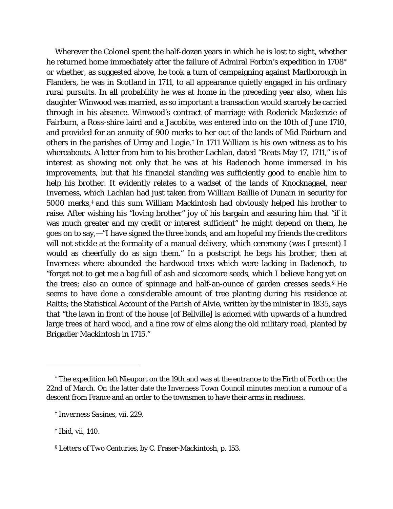Wherever the Colonel spent the half-dozen years in which he is lost to sight, whether he returned home immediately after the failure of Admiral Forbin's expedition in 1708<sup>[\\*](#page-13-1)</sup> or whether, as suggested above, he took a turn of campaigning against Marlborough in Flanders, he was in Scotland in 1711, to all appearance quietly engaged in his ordinary rural pursuits. In all probability he was at home in the preceding year also, when his daughter Winwood was married, as so important a transaction would scarcely be carried through in his absence. Winwood's contract of marriage with Roderick Mackenzie of Fairburn, a Ross-shire laird and a Jacobite, was entered into on the 10th of June 1710, and provided for an annuity of 900 merks to her out of the lands of Mid Fairburn and others in the parishes of Urray and Logie.[†](#page-14-0) In 1711 William is his own witness as to his whereabouts. A letter from him to his brother Lachlan, dated "Reats May 17, 1711," is of interest as showing not only that he was at his Badenoch home immersed in his improvements, but that his financial standing was sufficiently good to enable him to help his brother. It evidently relates to a wadset of the lands of Knocknagael, near Inverness, which Lachlan had just taken from William Baillie of Dunain in security for 5000 merks,[‡](#page-14-1) and this sum William Mackintosh had obviously helped his brother to raise. After wishing his "loving brother" joy of his bargain and assuring him that "if it was much greater and my credit or interest sufficient" he might depend on them, he goes on to say,—"I have signed the three bonds, and am hopeful my friends the creditors will not stickle at the formality of a manual delivery, which ceremony (was I present) I would as cheerfully do as sign them." In a postscript he begs his brother, then at Inverness where abounded the hardwood trees which were lacking in Badenoch, to "forget not to get me a bag full of ash and siccomore seeds, which I believe hang yet on the trees; also an ounce of spinnage and half-an-ounce of garden cresses seeds.[§](#page-14-2) He seems to have done a considerable amount of tree planting during his residence at Raitts; the Statistical Account of the Parish of Alvie, written by the minister in 1835, says that "the lawn in front of the house [of Bellville] is adorned with upwards of a hundred large trees of hard wood, and a fine row of elms along the old military road, planted by Brigadier Mackintosh in 1715."

<sup>\*</sup> The expedition left Nieuport on the 19th and was at the entrance to the Firth of Forth on the 22nd of March. On the latter date the Inverness Town Council minutes mention a rumour of a descent from France and an order to the townsmen to have their arms in readiness.

<sup>†</sup> *Inverness Sasines,* vii. 229.

<span id="page-14-1"></span><span id="page-14-0"></span><sup>‡</sup> *Ibid,* vii, 140.

<span id="page-14-2"></span><sup>§</sup> *Letters of Two Centuries*, by C. Fraser-Mackintosh, p. 153.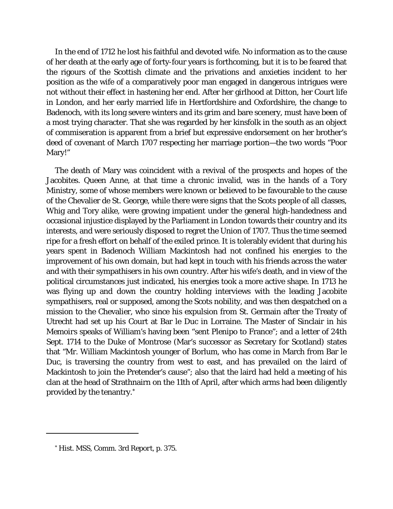In the end of 1712 he lost his faithful and devoted wife. No information as to the cause of her death at the early age of forty-four years is forthcoming, but it is to be feared that the rigours of the Scottish climate and the privations and anxieties incident to her position as the wife of a comparatively poor man engaged in dangerous intrigues were not without their effect in hastening her end. After her girlhood at Ditton, her Court life in London, and her early married life in Hertfordshire and Oxfordshire, the change to Badenoch, with its long severe winters and its grim and bare scenery, must have been of a most trying character. That she was regarded by her kinsfolk in the south as an object of commiseration is apparent from a brief but expressive endorsement on her brother's deed of covenant of March 1707 respecting her marriage portion—the two words "Poor Mary!"

The death of Mary was coincident with a revival of the prospects and hopes of the Jacobites. Queen Anne, at that time a chronic invalid, was in the hands of a Tory Ministry, some of whose members were known or believed to be favourable to the cause of the Chevalier de St. George, while there were signs that the Scots people of all classes, Whig and Tory alike, were growing impatient under the general high-handedness and occasional injustice displayed by the Parliament in London towards their country and its interests, and were seriously disposed to regret the Union of 1707. Thus the time seemed ripe for a fresh effort on behalf of the exiled prince. It is tolerably evident that during his years spent in Badenoch William Mackintosh had not confined his energies to the improvement of his own domain, but had kept in touch with his friends across the water and with their sympathisers in his own country. After his wife's death, and in view of the political circumstances just indicated, his energies took a more active shape. In 1713 he was flying up and down the country holding interviews with the leading Jacobite sympathisers, real or supposed, among the Scots nobility, and was then despatched on a mission to the Chevalier, who since his expulsion from St. Germain after the Treaty of Utrecht had set up his Court at Bar le Duc in Lorraine. The Master of Sinclair in his *Memoirs* speaks of William's having been "sent Plenipo to France"; and a letter of 24th Sept. 1714 to the Duke of Montrose (Mar's successor as Secretary for Scotland) states that "Mr. William Mackintosh younger of Borlum, who has come in March from Bar le Duc, is traversing the country from west to east, and has prevailed on the laird of Mackintosh to join the Pretender's cause"; also that the laird had held a meeting of his clan at the head of Strathnairn on the 11th of April, after which arms had been diligently provided by the tenantry.[\\*](#page-15-0)

<span id="page-15-1"></span><span id="page-15-0"></span>*<sup>\*</sup> Hist. MSS, Comm.* 3rd *Report,* p. 375.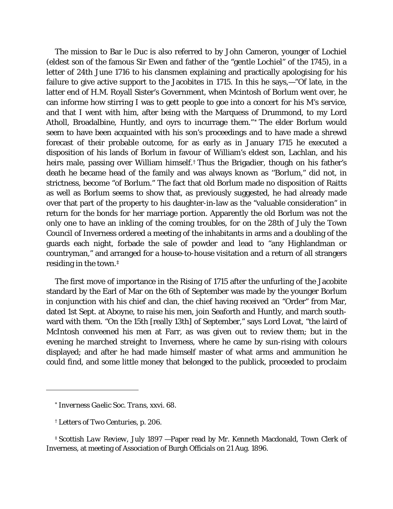The mission to Bar le Duc is also referred to by John Cameron, younger of Lochiel (eldest son of the famous Sir Ewen and father of the "gentle Lochiel" of the 1745), in a letter of 24th June 1716 to his clansmen explaining and practically apologising for his failure to give active support to the Jacobites in 1715. In this he says,—"Of late, in the latter end of H.M. Royall Sister's Government, when Mcintosh of Borlum went over, he can informe how stirring I was to gett people to goe into a concert for his M's service, and that I went with him, after being with the Marquess of Drummond, to my Lord Atholl, Broadalbine, Huntly, and oyrs to incurrage them."[\\*](#page-15-1) The elder Borlum would seem to have been acquainted with his son's proceedings and to have made a shrewd forecast of their probable outcome, for as early as in January 1715 he executed a disposition of his lands of Borlum in favour of William's eldest son, Lachlan, and his heirs male, passing over William himself.<sup>[†](#page-16-0)</sup> Thus the Brigadier, though on his father's death he became head of the family and was always known as ''Borlum," did not, in strictness, become "of Borlum." The fact that old Borlum made no disposition of Raitts as well as Borlum seems to show that, as previously suggested, he had already made over that part of the property to his daughter-in-law as the "valuable consideration" in return for the bonds for her marriage portion. Apparently the old Borlum was not the only one to have an inkling of the coming troubles, for on the 28th of July the Town Council of Inverness ordered a meeting of the inhabitants in arms and a doubling of the guards each night, forbade the sale of powder and lead to "any Highlandman or countryman," and arranged for a house-to-house visitation and a return of all strangers residing in the town.[‡](#page-16-1)

The first move of importance in the Rising of 1715 after the unfurling of the Jacobite standard by the Earl of Mar on the 6th of September was made by the younger Borlum in conjunction with his chief and clan, the chief having received an "Order" from Mar, dated 1st Sept. at Aboyne, to raise his men, join Seaforth and Huntly, and march southward with them. "On the 15th [really 13th] of September," says Lord Lovat, "the laird of McIntosh conveened his men at Farr, as was given out to review them; but in the evening he marched streight to Inverness, where he came by sun-rising with colours displayed; and after he had made himself master of what arms and ammunition he could find, and some little money that belonged to the publick, proceeded to proclaim

<span id="page-16-0"></span>i<br>I

<span id="page-16-2"></span><span id="page-16-1"></span>‡ *Scottish Law Review*, July 1897 —Paper read by Mr. Kenneth Macdonald, Town Clerk of Inverness, at meeting of Association of Burgh Officials on 21 Aug. 1896.

<sup>\*</sup> *Inverness Gaelic Soc. Trans,* xxvi. 68.

<sup>†</sup> *Letters of Two Centuries*, p. 206.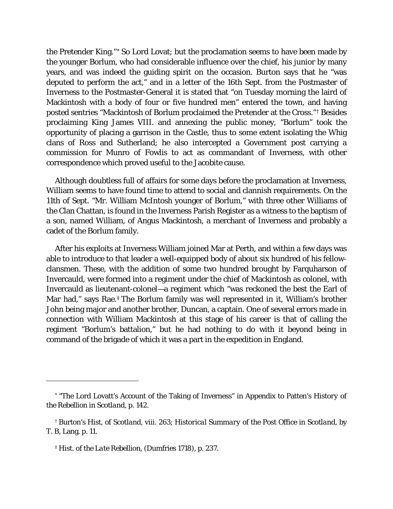the Pretender King."[\\*](#page-16-2) So Lord Lovat; but the proclamation seems to have been made by the younger Borlum, who had considerable influence over the chief, his junior by many years, and was indeed the guiding spirit on the occasion. Burton says that he "was deputed to perform the act," and in a letter of the 16th Sept. from the Postmaster of Inverness to the Postmaster-General it is stated that "on Tuesday morning the laird of Mackintosh with a body of four or five hundred men" entered the town, and having posted sentries "Mackintosh of Borlum proclaimed the Pretender at the Cross."[†](#page-17-0) Besides proclaiming King James VIII. and annexing the public money, "Borlum" took the opportunity of placing a garrison in the Castle, thus to some extent isolating the Whig clans of Ross and Sutherland; he also intercepted a Government post carrying a commission for Munro of Fowlis to act as commandant of Inverness, with other correspondence which proved useful to the Jacobite cause.

Although doubtless full of affairs for some days before the proclamation at Inverness, William seems to have found time to attend to social and clannish requirements. On the 11th of Sept. "Mr. William McIntosh younger of Borlum," with three other Williams of the Clan Chattan, is found in the Inverness Parish Register as a witness to the baptism of a son, named William, of Angus Mackintosh, a merchant of Inverness and probably a cadet of the Borlum family.

After his exploits at Inverness William joined Mar at Perth, and within a few days was able to introduce to that leader a well-equipped body of about six hundred of his fellowclansmen. These, with the addition of some two hundred brought by Farquharson of Invercauld, were formed into a regiment under the chief of Mackintosh as colonel, with Invercauld as lieutenant-colonel—a regiment which "was reckoned the best the Earl of Mar had," says Rae.[‡](#page-17-1) The Borlum family was well represented in it, William's brother John being major and another brother, Duncan, a captain. One of several errors made in connection with William Mackintosh at this stage of his career is that of calling the regiment "Borlum's battalion," but he had nothing to do with it beyond being in command of the brigade of which it was a part in the expedition in England.

I

<sup>\*</sup> "The Lord Lovatt's Account of the Taking of Inverness" in Appendix to Patten's *History of the Rebellion in Scotland,* p. 142.

<span id="page-17-0"></span><sup>†</sup> Burton's *Hist, of Scotland,* viii. 263; *Historical Summary of the Post Office in Scotland,* by T. B, Lang, p. 11.

<span id="page-17-1"></span><sup>‡</sup> *Hist. of the Late Rebellion*, (Dumfries 1718), p. 237.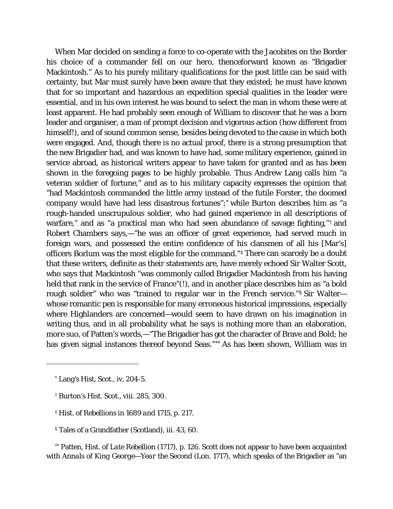When Mar decided on sending a force to co-operate with the Jacobites on the Border his choice of a commander fell on our hero, thenceforward known as "Brigadier Mackintosh." As to his purely military qualifications for the post little can be said with certainty, but Mar must surely have been aware that they existed; he must have known that for so important and hazardous an expedition special qualities in the leader were essential, and in his own interest he was bound to select the man in whom these were at least apparent. He had probably seen enough of William to discover that he was a born leader and organiser, a man of prompt decision and vigorous action (how different from himself!), and of sound common sense, besides being devoted to the cause in which both were engaged. And, though there is no actual proof, there is a strong presumption that the new Brigadier had, and was known to have had, some military experience, gained in service abroad, as historical writers appear to have taken for granted and as has been shown in the foregoing pages to be highly probable. Thus Andrew Lang calls him "a veteran soldier of fortune," and as to his military capacity expresses the opinion that "had Mackintosh commanded the little army instead of the futile Forster, the doomed company would have had less disastrous fortunes";[\\*](#page-18-0) while Burton describes him as "a rough-handed unscrupulous soldier, who had gained experience in all descriptions of warfare," and as "a practical man who had seen abundance of savage fighting,"<sup>[†](#page-18-1)</sup> and Robert Chambers says,—"he was an officer of great experience, had served much in foreign wars, and possessed the entire confidence of his clansmen of all his [Mar's] officers Borlum was the most eligible for the command."[‡](#page-18-2) There can scarcely be a doubt that these writers, definite as their statements are, have merely echoed Sir Walter Scott, who says that Mackintosh "was commonly called Brigadier Mackintosh from his having held that rank in the service of France"(!), and in another place describes him as "a bold rough soldier" who was "trained to regular war in the French service."[§](#page-18-3) Sir Walter whose romantic pen is responsible for many erroneous historical impressions, especially where Highlanders are concerned—would seem to have drawn on his imagination in writing thus, and in all probability what he says is nothing more than an elaboration, *more suo,* of Patten's words,—"The Brigadier has got the character of Brave and Bold; he has given signal instances thereof beyond Seas."[\\*\\*](#page-18-4) As has been shown, William was in

<span id="page-18-1"></span><span id="page-18-0"></span>i<br>I

§ Tales of a Grandfather (Scotland), *iii. 43, 60.*

<span id="page-18-4"></span>\*\* Patten, *Hist. of Late Rebellion* (1717), p. 126. Scott does not appear to have been acquainted with *Annals of King George—Year the Second* (Lon. 1717), which speaks of the Brigadier as "an

<sup>\*</sup> Lang's *Hist, Scot.,* iv, 204-5.

<span id="page-18-2"></span><sup>†</sup> Burton's *Hist. Scot.,* viii. 285, 300.

<span id="page-18-3"></span>*<sup>‡</sup> Hist. of Rebellions in 1689 and 1715*, p. 217.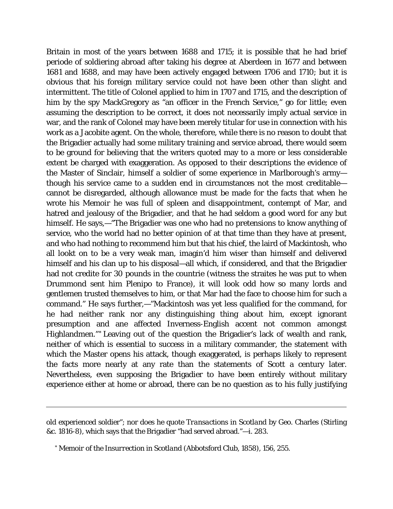Britain in most of the years between 1688 and 1715; it is possible that he had brief periode of soldiering abroad after taking his degree at Aberdeen in 1677 and between 1681 and 1688, and may have been actively engaged between 1706 and 1710; but it is obvious that his foreign military service could not have been other than slight and intermittent. The title of Colonel applied to him in 1707 and 1715, and the description of him by the spy MackGregory as "an officer in the French Service," go for little; even assuming the description to be correct, it does not necessarily imply actual service in war, and the rank of Colonel may have been merely titular for use in connection with his work as a Jacobite agent. On the whole, therefore, while there is no reason to doubt that the Brigadier actually had some military training and service abroad, there would seem to be ground for believing that the writers quoted may to a more or less considerable extent be charged with exaggeration. As opposed to their descriptions the evidence of the Master of Sinclair, himself a soldier of some experience in Marlborough's army though his service came to a sudden end in circumstances not the most creditable cannot be disregarded, although allowance must be made for the facts that when he wrote his *Memoir* he was full of spleen and disappointment, contempt of Mar, and hatred and jealousy of the Brigadier, and that he had seldom a good word for any but himself. He says,—"The Brigadier was one who had no pretensions to know anything of service, who the world had no better opinion of at that time than they have at present, and who had nothing to recommend him but that his chief, the laird of Mackintosh, who all lookt on to be a very weak man, imagin'd him wiser than himself and delivered himself and his clan up to his disposal—all which, if considered, and that the Brigadier had not credite for 30 pounds in the countrie (witness the straites he was put to when Drummond sent him Plenipo to France), it will look odd how so many lords and gentlemen trusted themselves to him, or that Mar had the face to choose him for such a command." He says further,—"Mackintosh was yet less qualified for the command, for he had neither rank nor any distinguishing thing about him, except ignorant presumption and ane affected Inverness-English accent not common amongst Highlandmen."[\\*](#page-19-0) Leaving out of the question the Brigadier's lack of wealth and rank, neither of which is essential to success in a military commander, the statement with which the Master opens his attack, though exaggerated, is perhaps likely to represent the facts more nearly at any rate than the statements of Scott a century later. Nevertheless, even supposing the Brigadier to have been entirely without military experience either at home or abroad, there can be no question as to his fully justifying

old experienced soldier"; nor does he quote *Transactions in Scotland* by Geo. Charles (Stirling &c. 1816-8), which says that the Brigadier "had served abroad."—*i.* 283.

<span id="page-19-0"></span>*<sup>\*</sup> Memoir of the Insurrection in Scotland* (Abbotsford Club, 1858), 156, 255.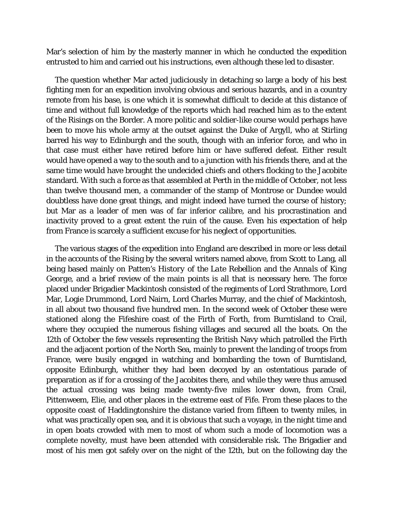Mar's selection of him by the masterly manner in which he conducted the expedition entrusted to him and carried out his instructions, even although these led to disaster.

The question whether Mar acted judiciously in detaching so large a body of his best fighting men for an expedition involving obvious and serious hazards, and in a country remote from his base, is one which it is somewhat difficult to decide at this distance of time and without full knowledge of the reports which had reached him as to the extent of the Risings on the Border. A more politic and soldier-like course would perhaps have been to move his whole army at the outset against the Duke of Argyll, who at Stirling barred his way to Edinburgh and the south, though with an inferior force, and who in that case must either have retired before him or have suffered defeat. Either result would have opened a way to the south and to a junction with his friends there, and at the same time would have brought the undecided chiefs and others flocking to the Jacobite standard. With such a force as that assembled at Perth in the middle of October, not less than twelve thousand men, a commander of the stamp of Montrose or Dundee would doubtless have done great things, and might indeed have turned the course of history; but Mar as a leader of men was of far inferior calibre, and his procrastination and inactivity proved to a great extent the ruin of the cause. Even his expectation of help from France is scarcely a sufficient excuse for his neglect of opportunities.

The various stages of the expedition into England are described in more or less detail in the accounts of the Rising by the several writers named above, from Scott to Lang, all being based mainly on Patten's *History of the Late Rebellion* and the *Annals of King George,* and a brief review of the main points is all that is necessary here. The force placed under Brigadier Mackintosh consisted of the regiments of Lord Strathmore, Lord Mar, Logie Drummond, Lord Nairn, Lord Charles Murray, and the chief of Mackintosh, in all about two thousand five hundred men. In the second week of October these were stationed along the Fifeshire coast of the Firth of Forth, from Burntisland to Crail, where they occupied the numerous fishing villages and secured all the boats. On the 12th of October the few vessels representing the British Navy which patrolled the Firth and the adjacent portion of the North Sea, mainly to prevent the landing of troops from France, were busily engaged in watching and bombarding the town of Burntisland, opposite Edinburgh, whither they had been decoyed by an ostentatious parade of preparation as if for a crossing of the Jacobites there, and while they were thus amused the actual crossing was being made twenty-five miles lower down, from Crail, Pittenweem, Elie, and other places in the extreme east of Fife. From these places to the opposite coast of Haddingtonshire the distance varied from fifteen to twenty miles, in what was practically open sea, and it is obvious that such a voyage, in the night time and in open boats crowded with men to most of whom such a mode of locomotion was a complete novelty, must have been attended with considerable risk. The Brigadier and most of his men got safely over on the night of the 12th, but on the following day the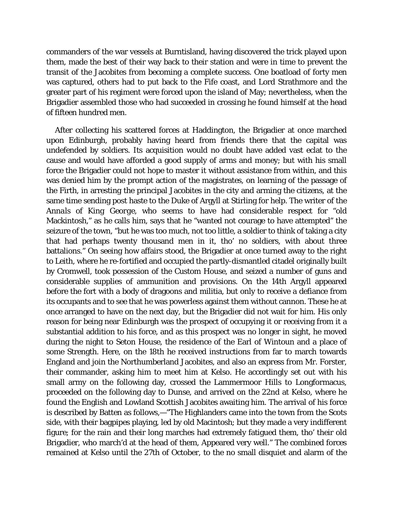commanders of the war vessels at Burntisland, having discovered the trick played upon them, made the best of their way back to their station and were in time to prevent the transit of the Jacobites from becoming a complete success. One boatload of forty men was captured, others had to put back to the Fife coast, and Lord Strathmore and the greater part of his regiment were forced upon the island of May; nevertheless, when the Brigadier assembled those who had succeeded in crossing he found himself at the head of fifteen hundred men.

After collecting his scattered forces at Haddington, the Brigadier at once marched upon Edinburgh, probably having heard from friends there that the capital was undefended by soldiers. Its acquisition would no doubt have added vast eclat to the cause and would have afforded a good supply of arms and money; but with his small force the Brigadier could not hope to master it without assistance from within, and this was denied him by the prompt action of the magistrates, on learning of the passage of the Firth, in arresting the principal Jacobites in the city and arming the citizens, at the same time sending post haste to the Duke of Argyll at Stirling for help. The writer of the *Annals of King George,* who seems to have had considerable respect for "old Mackintosh," as he calls him, says that he "wanted not courage to have attempted" the seizure of the town, "but he was too much, not too little, a soldier to think of taking a city that had perhaps twenty thousand men in it, tho' no soldiers, with about three battalions." On seeing how affairs stood, the Brigadier at once turned away to the right to Leith, where he re-fortified and occupied the partly-dismantled citadel originally built by Cromwell, took possession of the Custom House, and seized a number of guns and considerable supplies of ammunition and provisions. On the 14th Argyll appeared before the fort with a body of dragoons and militia, but only to receive a defiance from its occupants and to see that he was powerless against them without cannon. These he at once arranged to have on the next day, but the Brigadier did not wait for him. His only reason for being near Edinburgh was the prospect of occupying it or receiving from it a substantial addition to his force, and as this prospect was no longer in sight, he moved during the night to Seton House, the residence of the Earl of Wintoun and a place of some Strength. Here, on the 18th he received instructions from far to march towards England and join the Northumberland Jacobites, and also an express from Mr. Forster, their commander, asking him to meet him at Kelso. He accordingly set out with his small army on the following day, crossed the Lammermoor Hills to Longformacus, proceeded on the following day to Dunse, and arrived on the 22nd at Kelso, where he found the English and Lowland Scottish Jacobites awaiting him. The arrival of his force is described by Batten as follows,—"The Highlanders came into the town from the Scots side, with their bagpipes playing, led by old Macintosh; but they made a very indifferent figure; for the rain and their long marches had extremely fatigued them, tho' their old Brigadier, who march'd at the head of them, Appeared very well." The combined forces remained at Kelso until the 27th of October, to the no small disquiet and alarm of the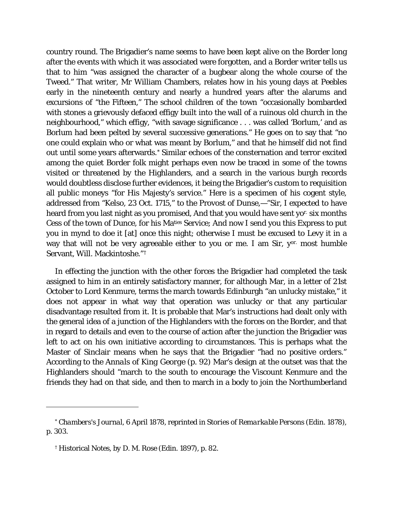country round. The Brigadier's name seems to have been kept alive on the Border long after the events with which it was associated were forgotten, and a Border writer tells us that to him "was assigned the character of a bugbear along the whole course of the Tweed." That writer, Mr William Chambers, relates how in his young days at Peebles early in the nineteenth century and nearly a hundred years after the alarums and excursions of "the Fifteen," The school children of the town "occasionally bombarded with stones a grievously defaced effigy built into the wall of a ruinous old church in the neighbourhood," which effigy, "with savage significance . . . was called 'Borlum,' and as Borlum had been pelted by several successive generations." He goes on to say that "no one could explain who or what was meant by Borlum," and that he himself did not find out until some years afterwards.[\\*](#page-22-0) Similar echoes of the consternation and terror excited among the quiet Border folk might perhaps even now be traced in some of the towns visited or threatened by the Highlanders, and a search in the various burgh records would doubtless disclose further evidences, it being the Brigadier's custom to requisition all public moneys "for His Majesty's service." Here is a specimen of his cogent style, addressed from "Kelso, 23 Oct. 1715," to the Provost of Dunse,—"Sir, I expected to have heard from you last night as you promised, And that you would have sent yo<sup>r.</sup> six months Cess of the town of Dunce, for his Maties Service; And now I send you this Express to put you in mynd to doe it [at] once this night; otherwise I must be excused to Levy it in a way that will not be very agreeable either to you or me. I am Sir, yor. most humble Servant, Will. Mackintoshe."[†](#page-22-1)

In effecting the junction with the other forces the Brigadier had completed the task assigned to him in an entirely satisfactory manner, for although Mar, in a letter of 21st October to Lord Kenmure, terms the march towards Edinburgh "an unlucky mistake," it does not appear in what way that operation was unlucky or that any particular disadvantage resulted from it. It is probable that Mar's instructions had dealt only with the general idea of a junction of the Highlanders with the forces on the Border, and that in regard to details and even to the course of action after the junction the Brigadier was left to act on his own initiative according to circumstances. This is perhaps what the Master of Sinclair means when he says that the Brigadier "had no positive orders." According to the *Annals of King George* (p. 92) Mar's design at the outset was that the Highlanders should "march to the south to encourage the Viscount Kenmure and the friends they had on that side, and then to march in a body to join the Northumberland

<span id="page-22-1"></span><span id="page-22-0"></span>*<sup>\*</sup> Chambers's Journal,* 6 April 1878, reprinted in *Stories of Remarkable Persons* (Edin. 1878), p. 303.

<span id="page-22-2"></span><sup>†</sup> Historical Notes, *by D. M. Rose (Edin. 1897), p. 82.*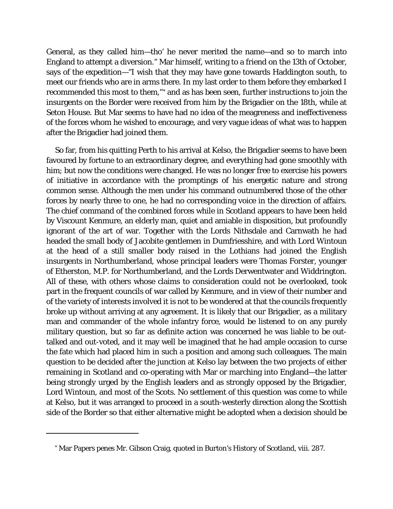General, as *they* called him—tho' he never merited the name—and so to march into England to attempt a diversion." Mar himself, writing to a friend on the 13th of October, says of the expedition—"I wish that they may have gone towards Haddington south, to meet our friends who are in arms there. In my last order to them before they embarked I recommended this most to them,"[\\*](#page-22-2) and as has been seen, further instructions to join the insurgents on the Border were received from him by the Brigadier on the 18th, while at Seton House. But Mar seems to have had no idea of the meagreness and ineffectiveness of the forces whom he wished to encourage, and very vague ideas of what was to happen after the Brigadier had joined them.

So far, from his quitting Perth to his arrival at Kelso, the Brigadier seems to have been favoured by fortune to an extraordinary degree, and everything had gone smoothly with him; but now the conditions were changed. He was no longer free to exercise his powers of initiative in accordance with the promptings of his energetic nature and strong common sense. Although the men under his command outnumbered those of the other forces by nearly three to one, he had no corresponding voice in the direction of affairs. The chief command of the combined forces while in Scotland appears to have been held by Viscount Kenmure, an elderly man, quiet and amiable in disposition, but profoundly ignorant of the art of war. Together with the Lords Nithsdale and Carnwath he had headed the small body of Jacobite gentlemen in Dumfriesshire, and with Lord Wintoun at the head of a still smaller body raised in the Lothians had joined the English insurgents in Northumberland, whose principal leaders were Thomas Forster, younger of Etherston, M.P. for Northumberland, and the Lords Derwentwater and Widdrington. All of these, with others whose claims to consideration could not be overlooked, took part in the frequent councils of war called by Kenmure, and in view of their number and of the variety of interests involved it is not to be wondered at that the councils frequently broke up without arriving at any agreement. It is likely that our Brigadier, as a military man and commander of the whole infantry force, would be listened to on any purely military question, but so far as definite action was concerned he was liable to be outtalked and out-voted, and it may well be imagined that he had ample occasion to curse the fate which had placed him in such a position and among such colleagues. The main question to be decided after the junction at Kelso lay between the two projects of either remaining in Scotland and co-operating with Mar or marching into England—the latter being strongly urged by the English leaders and as strongly opposed by the Brigadier, Lord Wintoun, and most of the Scots. No settlement of this question was come to while at Kelso, but it was arranged to proceed in a south-westerly direction along the Scottish side of the Border so that either alternative might be adopted when a decision should be

<sup>\*</sup> Mar Papers *penes* Mr. Gibson Craig, quoted in Burton's *History of Scotland,* viii. 287.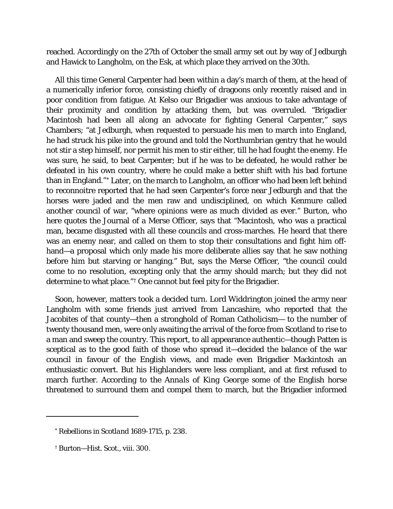reached. Accordingly on the 27th of October the small army set out by way of Jedburgh and Hawick to Langholm, on the Esk, at which place they arrived on the 30th.

All this time General Carpenter had been within a day's march of them, at the head of a numerically inferior force, consisting chiefly of dragoons only recently raised and in poor condition from fatigue. At Kelso our Brigadier was anxious to take advantage of their proximity and condition by attacking them, but was overruled. "Brigadier Macintosh had been all along an advocate for fighting General Carpenter," says Chambers; "at Jedburgh, when requested to persuade his men to march into England, he had struck his pike into the ground and told the Northumbrian gentry that he would not stir a step himself, nor permit his men to stir either, till he had fought the enemy. He was sure, he said, to beat Carpenter; but if he was to be defeated, he would rather be defeated in his own country, where he could make a better shift with his bad fortune than in England."[\\*](#page-24-0) Later, on the march to Langholm, an officer who had been left behind to reconnoitre reported that he had seen Carpenter's force near Jedburgh and that the horses were jaded and the men raw and undisciplined, on which Kenmure called another council of war, "where opinions were as much divided as ever." Burton, who here quotes the Journal of a Merse Officer, says that "Macintosh, who was a practical man, became disgusted with all these councils and cross-marches. He heard that there was an enemy near, and called on them to stop their consultations and fight him offhand—a proposal which only made his more deliberate allies say that he saw nothing before him but starving or hanging." But, says the Merse Officer, "the council could come to no resolution, excepting only that the army should march; but they did not determine to what place."[†](#page-24-1) One cannot but feel pity for the Brigadier.

Soon, however, matters took a decided turn. Lord Widdrington joined the army near Langholm with some friends just arrived from Lancashire, who reported that the Jacobites of that county—then a stronghold of Roman Catholicism— to the number of twenty thousand men, were only awaiting the arrival of the force from Scotland to rise to a man and sweep the country. This report, to all appearance authentic—though Patten is sceptical as to the good faith of those who spread it—decided the balance of the war council in favour of the English views, and made even Brigadier Mackintosh an enthusiastic convert. But his Highlanders were less compliant, and at first refused to march further. According to the *Annals of King George* some of the English horse threatened to surround them and compel them to march, but the Brigadier informed

<span id="page-24-0"></span>I

<sup>\*</sup> *Rebellions in Scotland* 1689-1715, p. 238.

<span id="page-24-1"></span><sup>†</sup> Burton—*Hist. Scot.,* viii. 300.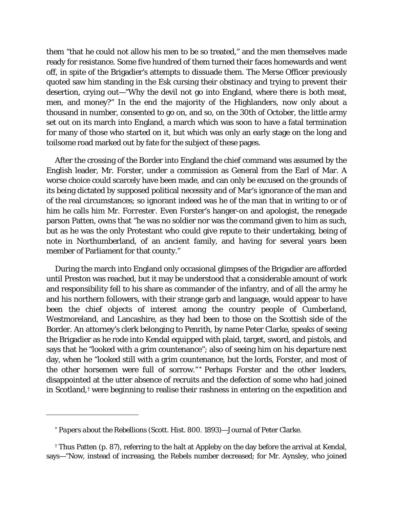them "that he could not allow his men to be so treated," and the men themselves made ready for resistance. Some five hundred of them turned their faces homewards and went off, in spite of the Brigadier's attempts to dissuade them. The Merse Officer previously quoted saw him standing in the Esk cursing their obstinacy and trying to prevent their desertion, crying out—"Why the devil not go into England, where there is both meat, men, and money?" In the end the majority of the Highlanders, now only about a thousand in number, consented to go on, and so, on the 30th of October, the little army set out on its march into England, a march which was soon to have a fatal termination for many of those who started on it, but which was only an early stage on the long and toilsome road marked out by fate for the subject of these pages.

After the crossing of the Border into England the chief command was assumed by the English leader, Mr. Forster, under a commission as General from the Earl of Mar. A worse choice could scarcely have been made, and can only be excused on the grounds of its being dictated by supposed political necessity and of Mar's ignorance of the man and of the real circumstances; so ignorant indeed was he of the man that in writing to or of him he calls him Mr. *Forrester.* Even Forster's hanger-on and apologist, the renegade parson Patten, owns that "he was no soldier nor was the command given to him as such, but as he was the only Protestant who could give repute to their undertaking, being of note in Northumberland, of an ancient family, and having for several years been member of Parliament for that county."

During the march into England only occasional glimpses of the Brigadier are afforded until Preston was reached, but it may be understood that a considerable amount of work and responsibility fell to his share as commander of the infantry, and of all the army he and his northern followers, with their strange garb and language, would appear to have been the chief objects of interest among the country people of Cumberland, Westmoreland, and Lancashire, as they had been to those on the Scottish side of the Border. An attorney's clerk belonging to Penrith, by name Peter Clarke, speaks of seeing the Brigadier as he rode into Kendal equipped with plaid, target, sword, and pistols, and says that he "looked with a grim countenance"; also of seeing him on his departure next day, when he "looked still with a grim countenance, but the lords, Forster, and most of the other horsemen were full of sorrow." [\\*](#page-25-0) Perhaps Forster and the other leaders, disappointed at the utter absence of recruits and the defection of some who had joined in Scotland,[†](#page-25-1) were beginning to realise their rashness in entering on the expedition and

<span id="page-25-0"></span><sup>\*</sup> *Papers about the Rebellions* (Scott. Hist. 800. 1893)—Journal of Peter Clarke.

<span id="page-25-2"></span><span id="page-25-1"></span><sup>†</sup> Thus Patten (p. 87), referring to the halt at Appleby on the day before the arrival at Kendal, says—"Now, instead of increasing, the Rebels number decreased; for Mr. Aynsley, who joined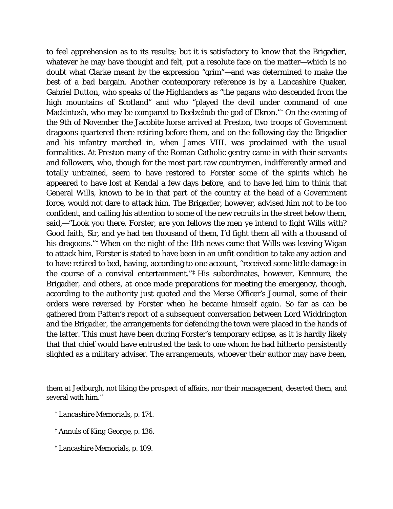to feel apprehension as to its results; but it is satisfactory to know that the Brigadier, whatever he may have thought and felt, put a resolute face on the matter—which is no doubt what Clarke meant by the expression "grim"—and was determined to make the best of a bad bargain. Another contemporary reference is by a Lancashire Quaker, Gabriel Dutton, who speaks of the Highlanders as "the pagans who descended from the high mountains of Scotland" and who "played the devil under command of one Mackintosh, who may be compared to Beelzebub the god of Ekron."[\\*](#page-25-2) On the evening of the 9th of November the Jacobite horse arrived at Preston, two troops of Government dragoons quartered there retiring before them, and on the following day the Brigadier and his infantry marched in, when James VIII. was proclaimed with the usual formalities. At Preston many of the Roman Catholic gentry came in with their servants and followers, who, though for the most part raw countrymen, indifferently armed and totally untrained, seem to have restored to Forster some of the spirits which he appeared to have lost at Kendal a few days before, and to have led him to think that General Wills, known to be in that part of the country at the head of a Government force, would not dare to attack him. The Brigadier, however, advised him not to be too confident, and calling his attention to some of the new recruits in the street below them, said,—"Look you there, Forster, are yon fellows the men ye intend to fight Wills with? Good faith, Sir, and ye had ten thousand of them, I'd fight them all with a thousand of his dragoons."<sup>[†](#page-26-0)</sup> When on the night of the 11th news came that Wills was leaving Wigan to attack him, Forster is stated to have been in an unfit condition to take any action and to have retired to bed, having, according to one account, "received some little damage in the course of a convival entertainment." [‡](#page-26-1) His subordinates, however, Kenmure, the Brigadier, and others, at once made preparations for meeting the emergency, though, according to the authority just quoted and the Merse Officer's Journal, some of their orders were reversed by Forster when he became himself again. So far as can be gathered from Patten's report of a subsequent conversation between Lord Widdrington and the Brigadier, the arrangements for defending the town were placed in the hands of the latter. This must have been during Forster's temporary eclipse, as it is hardly likely that that chief would have entrusted the task to one whom he had hitherto persistently slighted as a military adviser. The arrangements, whoever their author may have been,

I

them at Jedburgh, not liking the prospect of affairs, nor their management, deserted them, and several with him."

*<sup>\*</sup> Lancashire Memorials*, p. 174.

<sup>†</sup> *Annuls of King George*, p. 136.

<span id="page-26-1"></span><span id="page-26-0"></span><sup>‡</sup> Lancashire Memorials, *p. 109.*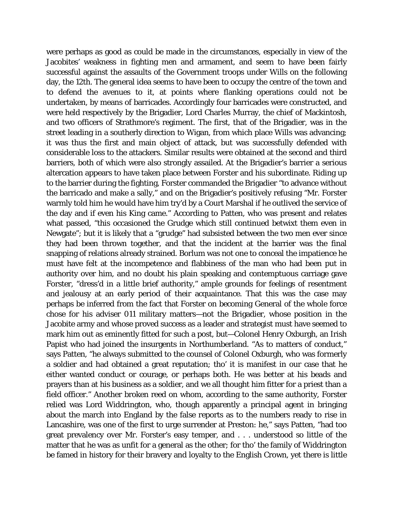<span id="page-27-1"></span><span id="page-27-0"></span>were perhaps as good as could be made in the circumstances, especially in view of the Jacobites' weakness in fighting men and armament, and seem to have been fairly successful against the assaults of the Government troops under Wills on the following day, the 12th. The general idea seems to have been to occupy the centre of the town and to defend the avenues to it, at points where flanking operations could not be undertaken, by means of barricades. Accordingly four barricades were constructed, and were held respectively by the Brigadier, Lord Charles Murray, the chief of Mackintosh, and two officers of Strathmore's regiment. The first, that of the Brigadier, was in the street leading in a southerly direction to Wigan, from which place Wills was advancing; it was thus the first and main object of attack, but was successfully defended with considerable loss to the attackers. Similar results were obtained at the second and third barriers, both of which were also strongly assailed. At the Brigadier's barrier a serious altercation appears to have taken place between Forster and his subordinate. Riding up to the barrier during the fighting, Forster commanded the Brigadier "to advance without the barricado and make a sally," and on the Brigadier's positively refusing "Mr. Forster warmly told him he would have him try'd by a Court Marshal if he outlived the service of the day and if even his King came." According to Patten, who was present and relates what passed, "this occasioned the Grudge which still continued betwixt them even in Newgate"; but it is likely that a "grudge" had subsisted between the two men ever since they had been thrown together, and that the incident at the barrier was the final snapping of relations already strained. Borlum was not one to conceal the impatience he must have felt at the incompetence and flabbiness of the man who had been put in authority over him, and no doubt his plain speaking and contemptuous carriage gave Forster, "dress'd in a little brief authority," ample grounds for feelings of resentment and jealousy at an early period of their acquaintance. That this was the case may perhaps be inferred from the fact that Forster on becoming General of the whole force chose for his adviser 011 military matters—not the Brigadier, whose position in the Jacobite army and whose proved success as a leader and strategist must have seemed to mark him out as eminently fitted for such a post, but—Colonel Henry Oxburgh, an Irish Papist who had joined the insurgents in Northumberland. "As to matters of conduct," says Patten, "he always submitted to the counsel of Colonel Oxburgh, who was formerly a soldier and had obtained a great reputation; tho' it is manifest in our case that he either wanted conduct or courage, or perhaps both. He was better at his beads and prayers than at his business as a soldier, and we all thought him fitter for a priest than a field officer." Another broken reed on whom, according to the same authority, Forster relied was Lord Widdrington, who, though apparently a principal agent in bringing about the march into England by the false reports as to the numbers ready to rise in Lancashire, was one of the first to urge surrender at Preston: he," says Patten, "had too great prevalency over Mr. Forster's easy temper, and . . . understood so little of the matter that he was as unfit for a general as the other; for tho' the family of Widdrington be famed in history for their bravery and loyalty to the English Crown, yet there is little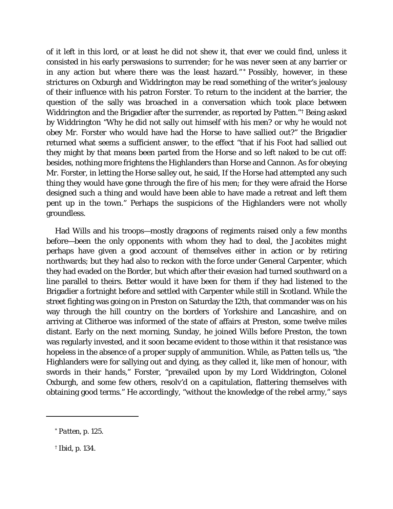of it left in this lord, or at least he did not shew it, that ever we could find, unless it consisted in his early perswasions to surrender; for he was never seen at any barrier or in any action but where there was the least hazard." [\\*](#page-27-0) Possibly, however, in these strictures on Oxburgh and Widdrington may be read something of the writer's jealousy of their influence with his patron Forster. To return to the incident at the barrier, the question of the sally was broached in a conversation which took place between Widdrington and the Brigadier after the surrender, as reported by Patten."[†](#page-27-1) Being asked by Widdrington "Why he did not sally out himself with his men? or why he would not obey Mr. Forster who would have had the Horse to have sallied out?" the Brigadier returned what seems a sufficient answer, to the effect "that if his Foot had sallied out they might by that means been parted from the Horse and so left naked to be cut off: besides, nothing more frightens the Highlanders than Horse and Cannon. As for obeying Mr. Forster, in letting the Horse salley out, he said, If the Horse had attempted any such thing they would have gone through the fire of his men; for they were afraid the Horse designed such a thing and would have been able to have made a retreat and left them pent up in the town." Perhaps the suspicions of the Highlanders were not wholly groundless.

Had Wills and his troops—mostly dragoons of regiments raised only a few months before—been the only opponents with whom they had to deal, the Jacobites might perhaps have given a good account of themselves either in action or by retiring northwards; but they had also to reckon with the force under General Carpenter, which they had evaded on the Border, but which after their evasion had turned southward on a line parallel to theirs. Better would it have been for them if they had listened to the Brigadier a fortnight before and settled with Carpenter while still in Scotland. While the street fighting was going on in Preston on Saturday the 12th, that commander was on his way through the hill country on the borders of Yorkshire and Lancashire, and on arriving at Clitheroe was informed of the state of affairs at Preston, some twelve miles distant. Early on the next morning, Sunday, he joined Wills before Preston, the town was regularly invested, and it soon became evident to those within it that resistance was hopeless in the absence of a proper supply of ammunition. While, as Patten tells us, "the Highlanders were for sallying out and dying, as they called it, like men of honour, with swords in their hands," Forster, "prevailed upon by my Lord Widdrington, Colonel Oxburgh, and some few others, resolv'd on a capitulation, flattering themselves with obtaining good terms." He accordingly, "without the knowledge of the rebel army," says

I

<sup>\*</sup> *Patten,* p. 125.

<sup>†</sup> *Ibid,* p. 134.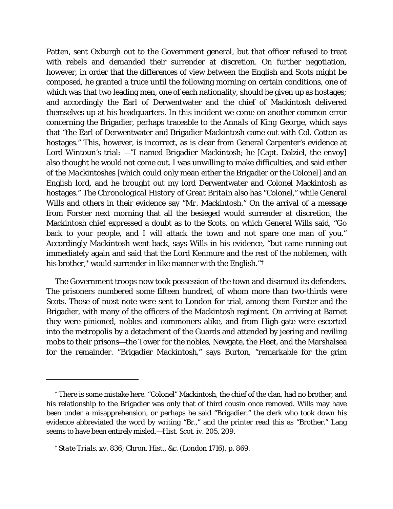Patten, sent Oxburgh out to the Government general, but that officer refused to treat with rebels and demanded their surrender at discretion. On further negotiation, however, in order that the differences of view between the English and Scots might be composed, he granted a truce until the following morning on certain conditions, one of which was that two leading men, one of each nationality, should be given up as hostages; and accordingly the Earl of Derwentwater and the chief of Mackintosh delivered themselves up at his headquarters. In this incident we come on another common error concerning the Brigadier, perhaps traceable to the *Annals of King George,* which says that "the Earl of Derwentwater and Brigadier Mackintosh came out with Col. Cotton as hostages." This, however, is incorrect, as is clear from General Carpenter's evidence at Lord Wintoun's trial: —"I named Brigadier Mackintosh; he [Capt. Dalziel, the envoy] also thought he would not come out. I was unwilling to make difficulties, and said *either of the Mackintoshes* [which could only mean either the Brigadier or the Colonel] and an English lord, and he brought out my lord Derwentwater and *Colonel* Mackintosh as hostages." The *Chronological History of Great Britain* also has "Colonel," while General Wills and others in their evidence say "*Mr.* Mackintosh." On the arrival of a message from Forster next morning that all the besieged would surrender at discretion, the Mackintosh chief expressed a doubt as to the Scots, on which General Wills said, "Go back to your people, and I will attack the town and not spare one man of you." Accordingly Mackintosh went back, says Wills in his evidence, "but came running out immediately again and said that the Lord Kenmure and the rest of the noblemen, with his brother,[\\*](#page-29-0) would surrender in like manner with the English."<sup>[†](#page-29-1)</sup>

The Government troops now took possession of the town and disarmed its defenders. The prisoners numbered some fifteen hundred, of whom more than two-thirds were Scots. Those of most note were sent to London for trial, among them Forster and the Brigadier, with many of the officers of the Mackintosh regiment. On arriving at Barnet they were pinioned, nobles and commoners alike, and from High-gate were escorted into the metropolis by a detachment of the Guards and attended by jeering and reviling mobs to their prisons—the Tower for the nobles, Newgate, the Fleet, and the Marshalsea for the remainder. "Brigadier Mackintosh," says Burton, "remarkable for the grim

<span id="page-29-0"></span><sup>\*</sup> There is some mistake here. "Colonel" Mackintosh, the chief of the clan, had no brother, and his relationship to the Brigadier was only that of third cousin once removed. Wills may have been under a misapprehension, or perhaps he said "Brigadier," the clerk who took down his evidence abbreviated the word by writing "Br.," and the printer read this as "Brother." Lang seems to have been entirely misled.—*Hist. Scot.* iv. 205, 209.

<span id="page-29-2"></span><span id="page-29-1"></span><sup>†</sup> *State Trials,* xv. 836; *Chron. Hist., &c.* (London 1716), p. 869.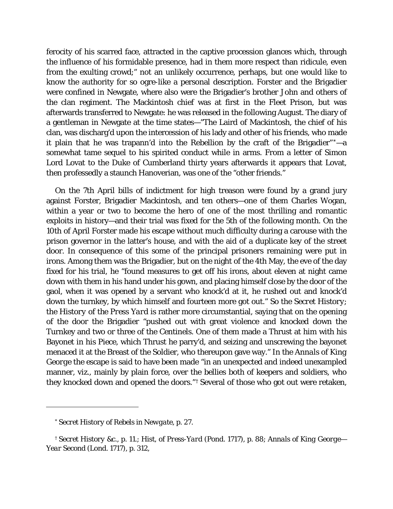ferocity of his scarred face, attracted in the captive procession glances which, through the influence of his formidable presence, had in them more respect than ridicule, even from the exulting crowd;" not an unlikely occurrence, perhaps, but one would like to know the authority for so ogre-like a personal description. Forster and the Brigadier were confined in Newgate, where also were the Brigadier's brother John and others of the clan regiment. The Mackintosh chief was at first in the Fleet Prison, but was afterwards transferred to Newgate: he was released in the following August. The diary of a gentleman in Newgate at the time states—"The Laird of Mackintosh, the chief of his clan, was discharg'd upon the intercession of his lady and other of his friends, who made it plain that he was trapann'd into the Rebellion by the craft of the Brigadier" $\dot{ }$  + -a somewhat tame sequel to his spirited conduct while in arms. From a letter of Simon Lord Lovat to the Duke of Cumberland thirty years afterwards it appears that Lovat, then professedly a staunch Hanoverian, was one of the "other friends."

On the 7th April bills of indictment for high treason were found by a grand jury against Forster, Brigadier Mackintosh, and ten others—one of them Charles Wogan, within a year or two to become the hero of one of the most thrilling and romantic exploits in history—and their trial was fixed for the 5th of the following month. On the 10th of April Forster made his escape without much difficulty during a carouse with the prison governor in the latter's house, and with the aid of a duplicate key of the street door. In consequence of this some of the principal prisoners remaining were put in irons. Among them was the Brigadier, but on the night of the 4th May, the eve of the day fixed for his trial, he "found measures to get off his irons, about eleven at night came down with them in his hand under his gown, and placing himself close by the door of the gaol, when it was opened by a servant who knock'd at it, he rushed out and knock'd down the turnkey, by which himself and fourteen more got out." So the *Secret History*; the *History of the Press Yard* is rather more circumstantial, saying that on the opening of the door the Brigadier "pushed out with great violence and knocked down the Turnkey and two or three of the Centinels. One of them made a Thrust at him with his Bayonet in his Piece, which Thrust he parry'd, and seizing and unscrewing the bayonet menaced it at the Breast of the Soldier, who thereupon gave way." In the *Annals of King George* the escape is said to have been made "in an unexpected and indeed unexampled manner, viz., mainly by plain force, over the bellies both of keepers and soldiers, who they knocked down and opened the doors."[†](#page-30-0) Several of those who got out were retaken,

*<sup>\*</sup> Secret History of Rebels in Newgate,* p. 27.

<span id="page-30-0"></span>*<sup>†</sup> Secret History* &c., p. 11.; *Hist, of Press-Yard* (Pond. 1717), p. 88; *Annals of King George— Year Second* (Lond. 1717), p. 312,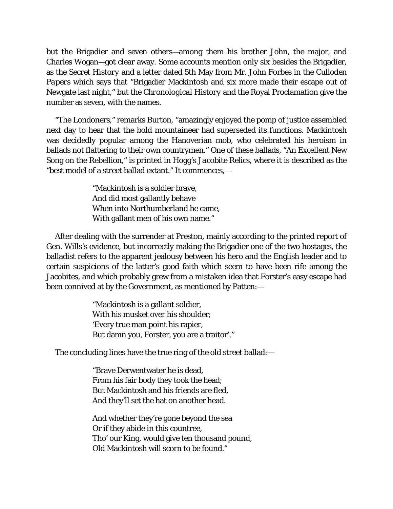but the Brigadier and seven others—among them his brother John, the major, and Charles Wogan—got clear away. Some accounts mention only six besides the Brigadier, as the *Secret History* and a letter dated 5th May from Mr. John Forbes in the *Culloden Papers* which says that "Brigadier Mackintosh and six more made their escape out of Newgate last night," but the *Chronological History* and the Royal Proclamation give the number as seven, with the names.

"The Londoners," remarks Burton, "amazingly enjoyed the pomp of justice assembled next day to hear that the bold mountaineer had superseded its functions. Mackintosh was decidedly popular among the Hanoverian mob, who celebrated his heroism in ballads not flattering to their own countrymen." One of these ballads, "An Excellent New Song on the Rebellion," is printed in Hogg's *Jacobite Relics,* where it is described as the "best model of a street ballad extant." It commences,—

> "Mackintosh is a soldier brave, And did most gallantly behave When into Northumberland he came, With gallant men of his own name."

After dealing with the surrender at Preston, mainly according to the printed report of Gen. Wills's evidence, but incorrectly making the Brigadier one of the two hostages, the balladist refers to the apparent jealousy between his hero and the English leader and to certain suspicions of the latter's good faith which seem to have been rife among the Jacobites, and which probably grew from a mistaken idea that Forster's easy escape had been connived at by the Government, as mentioned by Patten:—

> "Mackintosh is a gallant soldier, With his musket over his shoulder; 'Every true man point his rapier, But damn you, Forster, you are a traitor'."

<span id="page-31-0"></span>The concluding lines have the true ring of the old street ballad:—

"Brave Derwentwater he is dead, From his fair body they took the head; But Mackintosh and his friends are fled, And they'll set the hat on another head.

And whether they're gone beyond the sea Or if they abide in this countree, Tho' our King, would give ten thousand pound, Old Mackintosh will scorn to be found."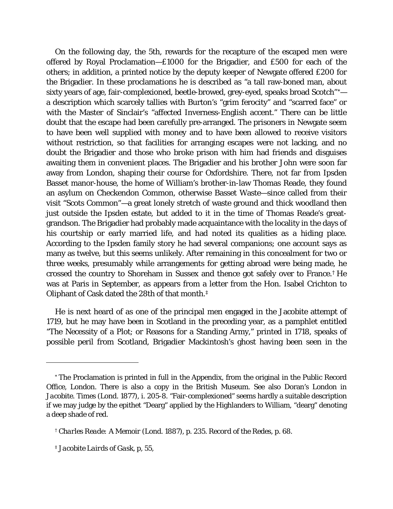On the following day, the 5th, rewards for the recapture of the escaped men were offered by Royal Proclamation—£1000 for the Brigadier, and £500 for each of the others; in addition, a printed notice by the deputy keeper of Newgate offered £200 for the Brigadier. In these proclamations he is described as "a tall raw-boned man, about sixty years of age, fair-complexioned, beetle-browed, grey-eyed, speaks broad Scotch"[\\*](#page-31-0) a description which scarcely tallies with Burton's "grim ferocity" and "scarred face" or with the Master of Sinclair's "affected Inverness-English accent." There can be little doubt that the escape had been carefully pre-arranged. The prisoners in Newgate seem to have been well supplied with money and to have been allowed to receive visitors without restriction, so that facilities for arranging escapes were not lacking, and no doubt the Brigadier and those who broke prison with him had friends and disguises awaiting them in convenient places. The Brigadier and his brother John were soon far away from London, shaping their course for Oxfordshire. There, not far from Ipsden Basset manor-house, the home of William's brother-in-law Thomas Reade, they found an asylum on Checkendon Common, otherwise Basset Waste—since called from their visit "Scots Common"—a great lonely stretch of waste ground and thick woodland then just outside the Ipsden estate, but added to it in the time of Thomas Reade's greatgrandson. The Brigadier had probably made acquaintance with the locality in the days of his courtship or early married life, and had noted its qualities as a hiding place. According to the Ipsden family story he had several companions; one account says as many as twelve, but this seems unlikely. After remaining in this concealment for two or three weeks, presumably while arrangements for getting abroad were being made, he crossed the country to Shoreham in Sussex and thence got safely over to France.[†](#page-32-0) He was at Paris in September, as appears from a letter from the Hon. Isabel Crichton to Oliphant of Cask dated the 28th of that month.[‡](#page-32-1)

He is next heard of as one of the principal men engaged in the Jacobite attempt of 1719, but he may have been in Scotland in the preceding year, as a pamphlet entitled "The Necessity of a Plot; or Reasons for a Standing Army," printed in 1718, speaks of possible peril from Scotland, Brigadier Mackintosh's ghost having been seen in the

<sup>\*</sup> The Proclamation is printed in full in the Appendix, from the original in the Public Record Office, London. There is also a copy in the British Museum. See also Doran's *London in Jacobite. Times* (Lond. 1877), i. 205-8. "Fair-complexioned" seems hardly a suitable description if we may judge by the epithet "Dearg" applied by the Highlanders to William, "dearg" denoting a deep shade of red.

*<sup>†</sup> Charles Reade: A Memoir* (Lond. 1887), p. 235. *Record of the Redes, p. 68.*

<span id="page-32-1"></span><span id="page-32-0"></span>*<sup>‡</sup> Jacobite Lairds of Gask,* p, 55,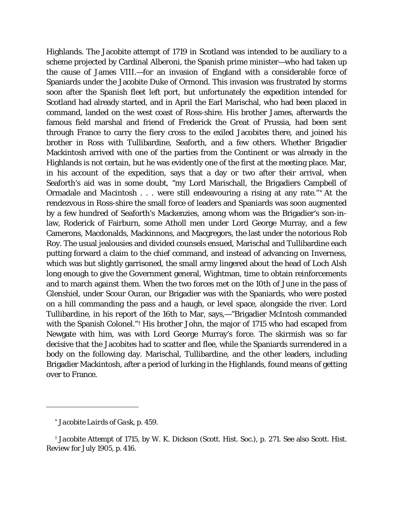Highlands. The Jacobite attempt of 1719 in Scotland was intended to be auxiliary to a scheme projected by Cardinal Alberoni, the Spanish prime minister—who had taken up the cause of James VIII.—for an invasion of England with a considerable force of Spaniards under the Jacobite Duke of Ormond. This invasion was frustrated by storms soon after the Spanish fleet left port, but unfortunately the expedition intended for Scotland had already started, and in April the Earl Marischal, who had been placed in command, landed on the west coast of Ross-shire. His brother James, afterwards the famous field marshal and friend of Frederick the Great of Prussia, had been sent through France to carry the fiery cross to the exiled Jacobites there, and joined his brother in Ross with Tullibardine, Seaforth, and a few others. Whether Brigadier Mackintosh arrived with one of the parties from the Continent or was already in the Highlands is not certain, but he was evidently one of the first at the meeting place. Mar, in his account of the expedition, says that a day or two after their arrival, when Seaforth's aid was in some doubt, "my Lord Marischall, the Brigadiers Campbell of Ormadale and *Macintosh* . *.* . were still endeavouring a rising at any rate." [\\*](#page-33-0) At the rendezvous in Ross-shire the small force of leaders and Spaniards was soon augmented by a few hundred of Seaforth's Mackenzies, among whom was the Brigadier's son-inlaw, Roderick of Fairburn, some Atholl men under Lord George Murray, and a few Camerons, Macdonalds, Mackinnons, and Macgregors, the last under the notorious Rob Roy. The usual jealousies and divided counsels ensued, Marischal and Tullibardine each putting forward a claim to the chief command, and instead of advancing on Inverness, which was but slightly garrisoned, the small army lingered about the head of Loch Alsh long enough to give the Government general, Wightman, time to obtain reinforcements and to march against them. When the two forces met on the 10th of June in the pass of Glenshiel, under Scour Ouran, our Brigadier was with the Spaniards, who were posted on a hill commanding the pass and a haugh, or level space, alongside the river. Lord Tullibardine, in his report of the 16th to Mar, says,—"Brigadier McIntosh commanded with the Spanish Colonel."[†](#page-33-1) His brother John, the major of 1715 who had escaped from Newgate with him, was with Lord George Murray's force. The skirmish was so far decisive that the Jacobites had to scatter and flee, while the Spaniards surrendered in a body on the following day. Marischal, Tullibardine, and the other leaders, including Brigadier Mackintosh, after a period of lurking in the Highlands, found means of getting over to France.

*<sup>\*</sup> Jacobite Lairds of Gask,* p. 459.

<span id="page-33-1"></span><span id="page-33-0"></span><sup>†</sup> *Jacobite Attempt of* 1715, by *W.* K. Dickson (Scott. Hist. Soc.), p. 271. See also *Scott. Hist. Review* for July 1905, p. 416.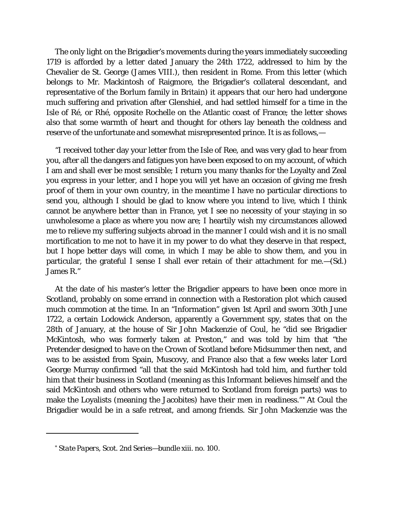The only light on the Brigadier's movements during the years immediately succeeding 1719 is afforded by a letter dated January the 24th 1722, addressed to him by the Chevalier de St. George (James VIII.), then resident in Rome. From this letter (which belongs to Mr. Mackintosh of Raigmore, the Brigadier's collateral descendant, and representative of the Borlum family in Britain) it appears that our hero had undergone much suffering and privation after Glenshiel, and had settled himself for a time in the Isle of Ré, or Rhé, opposite Rochelle on the Atlantic coast of France; the letter shows also that some warmth of heart and thought for others lay beneath the coldness and reserve of the unfortunate and somewhat misrepresented prince. It is as follows,—

"I received tother day your letter from the Isle of Ree, and was very glad to hear from you, after all the dangers and fatigues yon have been exposed to on my account, of which I am and shall ever be most sensible; I return you many thanks for the Loyalty and Zeal you express in your letter, and I hope you will yet have an occasion of giving me fresh proof of them in your own country, in the meantime I have no particular directions to send you, although I should be glad to know where you intend to live, which I think cannot be anywhere better than in France, yet I see no necessity of your staying in so unwholesome a place as where you now are; I heartily wish my circumstances allowed me to relieve my suffering subjects abroad in the manner I could wish and it is no small mortification to me not to have it in my power to do what they deserve in that respect, but I hope better days will come, in which I may be able to show them, and you in particular, the grateful I sense I shall ever retain of their attachment for me.—(Sd.) James R."

At the date of his master's letter the Brigadier appears to have been once more in Scotland, probably on some errand in connection with a Restoration plot which caused much commotion at the time. In an "Information" given 1st April and sworn 30th June 1722, a certain Lodowick Anderson, apparently a Government spy, states that on the 28th of January, at the house of Sir John Mackenzie of Coul, he "did see Brigadier McKintosh, who was formerly taken at Preston," and was told by him that "the Pretender designed to have on the Crown of Scotland before Midsummer then next, and was to be assisted from Spain, Muscovy, and France also that a few weeks later Lord George Murray confirmed "all that the said McKintosh had told him, and further told him that their business in Scotland (meaning as this Informant believes himself and the said McKintosh and others who were returned to Scotland from foreign parts) was to make the Loyalists (meaning the Jacobites) have their men in readiness."[\\*](#page-34-0) At Coul the Brigadier would be in a safe retreat, and among friends. Sir John Mackenzie was the

<span id="page-34-0"></span><sup>\*</sup> *State Papers*, *Scot.* 2nd Series—bundle xiii. no. 100.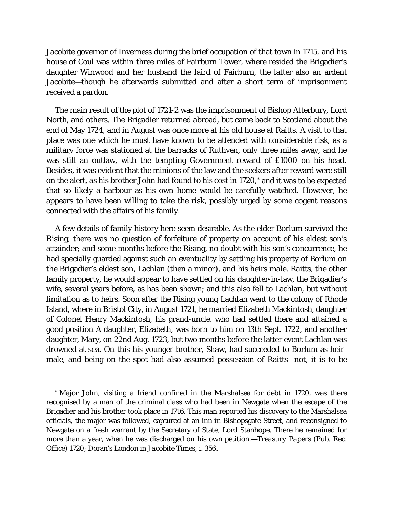Jacobite governor of Inverness during the brief occupation of that town in 1715, and his house of Coul was within three miles of Fairburn Tower, where resided the Brigadier's daughter Winwood and her husband the laird of Fairburn, the latter also an ardent Jacobite—though he afterwards submitted and after a short term of imprisonment received a pardon.

The main result of the plot of 1721-2 was the imprisonment of Bishop Atterbury, Lord North, and others. The Brigadier returned abroad, but came back to Scotland about the end of May 1724, and in August was once more at his old house at Raitts. A visit to that place was one which he must have known to be attended with considerable risk, as a military force was stationed at the barracks of Ruthven, only three miles away, and he was still an outlaw, with the tempting Government reward of £1000 on his head. Besides, it was evident that the minions of the law and the seekers after reward were still on the alert, as his brother John had found to his cost in 1720,[\\*](#page-35-0) and it was to be expected that so likely a harbour as his own home would be carefully watched. However, he appears to have been willing to take the risk, possibly urged by some cogent reasons connected with the affairs of his family.

A few details of family history here seem desirable. As the elder Borlum survived the Rising, there was no question of forfeiture of property on account of his eldest son's attainder; and some months before the Rising, no doubt with his son's concurrence, he had specially guarded against such an eventuality by settling his property of Borlum on the Brigadier's eldest son, Lachlan (then a minor), and his heirs male. Raitts, the other family property, he would appear to have settled on his daughter-in-law, the Brigadier's wife, several years before, as has been shown; and this also fell to Lachlan, but without limitation as to heirs. Soon after the Rising young Lachlan went to the colony of Rhode Island, where in Bristol City, in August 1721, he married Elizabeth Mackintosh, daughter of Colonel Henry Mackintosh, his grand-uncle. who had settled there and attained a good position A daughter, Elizabeth, was born to him on 13th Sept. 1722, and another daughter, Mary, on 22nd Aug. 1723, but two months before the latter event Lachlan was drowned at sea. On this his younger brother, Shaw, had succeeded to Borlum as heirmale, and being on the spot had also assumed possession of Raitts—not, it is to be

<span id="page-35-0"></span><sup>\*</sup> Major John, visiting a friend confined in the Marshalsea for debt in 1720, was there recognised by a man of the criminal class who had been in Newgate when the escape of the Brigadier and his brother took place in 1716. This man reported his discovery to the Marshalsea officials, the major was followed, captured at an inn in Bishopsgate Street, and reconsigned to Newgate on a fresh warrant by the Secretary of State, Lord Stanhope. There he remained for more than a year, when he was discharged on his own petition*.—Treasury Papers* (Pub. Rec. Office) 1720; Doran's *London in Jacobite Times*, i. 356.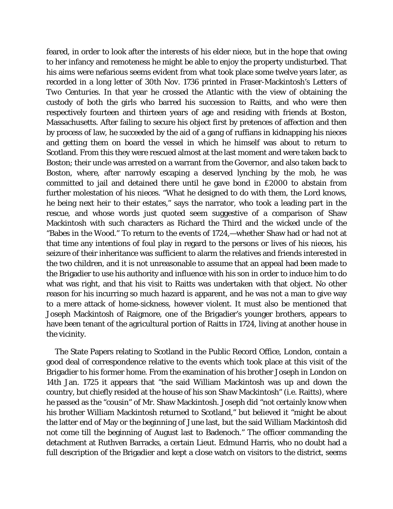feared, in order to look after the interests of his elder niece, but in the hope that owing to her infancy and remoteness he might be able to enjoy the property undisturbed. That his aims were nefarious seems evident from what took place some twelve years later, as recorded in a long letter of 30th Nov. 1736 printed in Fraser-Mackintosh's *Letters of Two Centuries.* In that year he crossed the Atlantic with the view of obtaining the custody of both the girls who barred his succession to Raitts, and who were then respectively fourteen and thirteen years of age and residing with friends at Boston, Massachusetts. After failing to secure his object first by pretences of affection and then by process of law, he succeeded by the aid of a gang of ruffians in kidnapping his nieces and getting them on board the vessel in which he himself was about to return to Scotland. From this they were rescued almost at the last moment and were taken back to Boston; their uncle was arrested on a warrant from the Governor, and also taken back to Boston, where, after narrowly escaping a deserved lynching by the mob, he was committed to jail and detained there until he gave bond in £2000 to abstain from further molestation of his nieces. "What he designed to do with them, the Lord knows, he being next heir to their estates," says the narrator, who took a leading part in the rescue, and whose words just quoted seem suggestive of a comparison of Shaw Mackintosh with such characters as Richard the Third and the wicked uncle of the "Babes in the Wood." To return to the events of 1724,—whether Shaw had or had not at that time any intentions of foul play in regard to the persons or lives of his nieces, his seizure of their inheritance was sufficient to alarm the relatives and friends interested in the two children, and it is not unreasonable to assume that an appeal had been made to the Brigadier to use his authority and influence with his son in order to induce him to do what was right, and that his visit to Raitts was undertaken with that object. No other reason for his incurring so much hazard is apparent, and he was not a man to give way to a mere attack of home-sickness, however violent. It must also be mentioned that Joseph Mackintosh of Raigmore, one of the Brigadier's younger brothers, appears to have been tenant of the agricultural portion of Raitts in 1724, living at another house in the vicinity.

The State Papers relating to Scotland in the Public Record Office, London, contain a good deal of correspondence relative to the events which took place at this visit of the Brigadier to his former home. From the examination of his brother Joseph in London on 14th Jan. 1725 it appears that "the said William Mackintosh was up and down the country, but chiefly resided at the house of his son Shaw Mackintosh" (i.e. Raitts), where he passed as the "cousin" of Mr. Shaw Mackintosh. Joseph did "not certainly know when his brother William Mackintosh returned to Scotland," but believed it "might be about the latter end of May or the beginning of June last, but the said William Mackintosh did not come till the beginning of August last to Badenoch." The officer commanding the detachment at Ruthven Barracks, a certain Lieut. Edmund Harris, who no doubt had a full description of the Brigadier and kept a close watch on visitors to the district, seems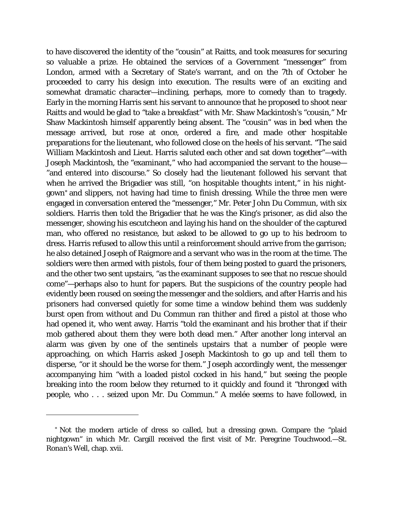to have discovered the identity of the "cousin" at Raitts, and took measures for securing so valuable a prize. He obtained the services of a Government "messenger" from London, armed with a Secretary of State's warrant, and on the 7th of October he proceeded to carry his design into execution. The results were of an exciting and somewhat dramatic character—inclining, perhaps, more to comedy than to tragedy. Early in the morning Harris sent his servant to announce that he proposed to shoot near Raitts and would be glad to "take a breakfast" with Mr. Shaw Mackintosh's "cousin," Mr Shaw Mackintosh himself apparently being absent. The "cousin" was in bed when the message arrived, but rose at once, ordered a fire, and made other hospitable preparations for the lieutenant, who followed close on the heels of his servant. "The said William Mackintosh and Lieut. Harris saluted each other and sat down together"—with Joseph Mackintosh, the "examinant," who had accompanied the servant to the house— "and entered into discourse." So closely had the lieutenant followed his servant that when he arrived the Brigadier was still, "on hospitable thoughts intent," in his nightgown[\\*](#page-37-0) and slippers, not having had time to finish dressing. While the three men were engaged in conversation entered the "messenger," Mr. Peter John Du Commun, with six soldiers. Harris then told the Brigadier that he was the King's prisoner, as did also the messenger, showing his escutcheon and laying his hand on the shoulder of the captured man, who offered no resistance, but asked to be allowed to go up to his bedroom to dress. Harris refused to allow this until a reinforcement should arrive from the garrison; he also detained Joseph of Raigmore and a servant who was in the room at the time. The soldiers were then armed with pistols, four of them being posted to guard the prisoners, and the other two sent upstairs, "as the examinant supposes to see that no rescue should come"—perhaps also to hunt for papers. But the suspicions of the country people had evidently been roused on seeing the messenger and the soldiers, and after Harris and his prisoners had conversed quietly for some time a window behind them was suddenly burst open from without and Du Commun ran thither and fired a pistol at those who had opened it, who went away. Harris "told the examinant and his brother that if their mob gathered about them they were both dead men." After another long interval an alarm was given by one of the sentinels upstairs that a number of people were approaching, on which Harris asked Joseph Mackintosh to go up and tell them to disperse, "or it should be the worse for them." Joseph accordingly went, the messenger accompanying him "with a loaded pistol cocked in his hand," but seeing the people breaking into the room below they returned to it quickly and found it "thronged with people, who . . . seized upon Mr. Du Commun." A melée seems to have followed, in

<span id="page-37-0"></span><sup>\*</sup> Not the modern article of dress so called, but a dressing gown. Compare the "plaid nightgown" in which Mr. Cargill received the first visit of Mr. Peregrine Touchwood.—*St. Ronan's Well,* chap. xvii.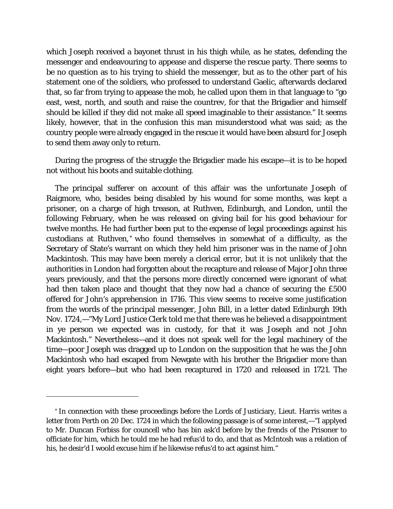which Joseph received a bayonet thrust in his thigh while, as he states, defending the messenger and endeavouring to appease and disperse the rescue party. There seems to be no question as to his trying to shield the messenger, but as to the other part of his statement one of the soldiers, who professed to understand Gaelic, afterwards declared that, so far from trying to appease the mob, he called upon them in that language to "go east, west, north, and south and raise the countrev, for that the Brigadier and himself should be killed if they did not make all speed imaginable to their assistance." It seems likely, however, that in the confusion this man misunderstood what was said; as the country people were already engaged in the rescue it would have been absurd for Joseph to send them away only to return.

During the progress of the struggle the Brigadier made his escape—it is to be hoped not without his boots and suitable clothing.

The principal sufferer on account of this affair was the unfortunate Joseph of Raigmore, who, besides being disabled by his wound for some months, was kept a prisoner, on a charge of high treason, at Ruthven, Edinburgh, and London, until the following February, when he was released on giving bail for his good behaviour for twelve months. He had further been put to the expense of legal proceedings against his custodians at Ruthven,[\\*](#page-38-0) who found themselves in somewhat of a difficulty, as the Secretary of State's warrant on which they held him prisoner was in the name of *John* Mackintosh. This may have been merely a clerical error, but it is not unlikely that the authorities in London had forgotten about the recapture and release of Major John three years previously, and that the persons more directly concerned were ignorant of what had then taken place and thought that they now had a chance of securing the £500 offered for John's apprehension in 1716. This view seems to receive some justification from the words of the principal messenger, John Bill, in a letter dated Edinburgh 19th Nov. 1724,—"My Lord Justice Clerk told me that there was he believed a *disappointment* in ye person we *expected* was in custody, for that it was Joseph and not John Mackintosh." Nevertheless—and it does not speak well for the legal machinery of the time—poor Joseph was dragged up to London on the supposition that he was the John Mackintosh who had escaped from Newgate with his brother the Brigadier more than eight years before—but who had been recaptured in 1720 and released in 1721. The

I

<span id="page-38-0"></span><sup>\*</sup> In connection with these proceedings before the Lords of Justiciary, Lieut. Harris writes a letter from Perth on 20 Dec. 1724 in which the following passage is of some interest,—"I applyed to Mr. Duncan Forbiss for councell who has bin ask'd before by the frends of the Prisoner to officiate for him, which he tould me he had refus'd to do, and that as McIntosh was a relation of his, he desir'd I woold excuse him if he likewise refus'd to act against him."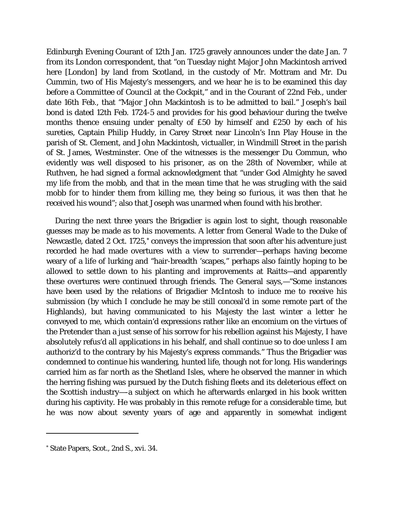Edinburgh Evening Courant of 12th Jan. 1725 gravely announces under the date Jan. 7 from its London correspondent, that "on Tuesday night Major John Mackintosh arrived here [London] by land from Scotland, in the custody of Mr. Mottram and Mr. Du Cummin, two of His Majesty's messengers, and we hear he is to be examined this day before a Committee of Council at the Cockpit," and in the Courant of 22nd Feb., under date 16th Feb., that "Major John Mackintosh is to be admitted to bail." Joseph's bail bond is dated 12th Feb. 1724-5 and provides for his good behaviour during the twelve months thence ensuing under penalty of £50 by himself and £250 by each of his sureties, Captain Philip Huddy, in Carey Street near Lincoln's Inn Play House in the parish of St. Clement, and John Mackintosh, victualler, in Windmill Street in the parish of St. James, Westminster. One of the witnesses is the messenger Du Commun, who evidently was well disposed to his prisoner, as on the 28th of November, while at Ruthven, he had signed a formal acknowledgment that "under God Almighty he saved my life from the mobb, and that in the mean time that he was strugling with the said mobb for to hinder them from killing me, they being so furious, it was then that he received his wound"; also that Joseph was unarmed when found with his brother.

During the next three years the Brigadier is again lost to sight, though reasonable guesses may be made as to his movements. A letter from General Wade to the Duke of Newcastle, dated 2 Oct. 1725,<sup>[\\*](#page-39-0)</sup> conveys the impression that soon after his adventure just recorded he had made overtures with a view to surrender—perhaps having become weary of a life of lurking and "hair-breadth 'scapes," perhaps also faintly hoping to be allowed to settle down to his planting and improvements at Raitts—and apparently these overtures were continued through friends. The General says,—"Some instances have been used by the relations of Brigadier McIntosh to induce me to receive his submission (by which I conclude he may be still conceal'd in some remote part of the Highlands), but having communicated to his Majesty the *last winter* a letter he conveyed to me, which contain'd expressions rather like an encomium on the virtues of the Pretender than a just sense of his sorrow for his rebellion against his Majesty, I have absolutely refus'd all applications in his behalf, and shall continue so to doe unless I am authoriz'd to the contrary by his Majesty's express commands." Thus the Brigadier was condemned to continue his wandering, hunted life, though not for long. His wanderings carried him as far north as the Shetland Isles, where he observed the manner in which the herring fishing was pursued by the Dutch fishing fleets and its deleterious effect on the Scottish industry—-a subject on which he afterwards enlarged in his book written during his captivity. He was probably in this remote refuge for a considerable time, but he was now about seventy years of age and apparently in somewhat indigent

<span id="page-39-0"></span><sup>\*</sup> State Papers, Scot., *2nd S., xvi. 34.*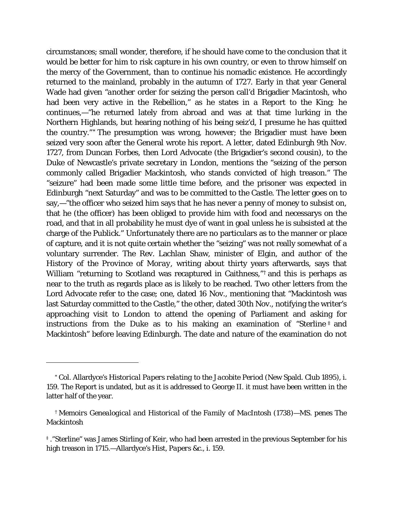circumstances; small wonder, therefore, if he should have come to the conclusion that it would be better for him to risk capture in his own country, or even to throw himself on the mercy of the Government, than to continue his nomadic existence. He accordingly returned to the mainland, probably in the autumn of 1727. Early in that year General Wade had given *"another* order for seizing the person call'd Brigadier Macintosh, who had been very active in the Rebellion," as he states in a Report to the King; he continues,—"he returned lately from abroad and was at that time lurking in the Northern Highlands, but hearing nothing of his being seiz'd, I presume he has quitted the country." [\\*](#page-40-0) The presumption was wrong, however; the Brigadier must have been seized very soon after the General wrote his report. A letter, dated Edinburgh 9th Nov. 1727, from Duncan Forbes, then Lord Advocate (the Brigadier's second cousin), to the Duke of Newcastle's private secretary in London, mentions the "seizing of the person commonly called Brigadier Mackintosh, who stands convicted of high treason." The "seizure" had been made some little time before, and the prisoner was expected in Edinburgh "next Saturday" and was to be committed to the Castle. The letter goes on to say,—"the officer who seized him says that he has never a penny of money to subsist on, that he (the officer) has been obliged to provide him with food and necessarys on the road, and that in all probability he must dye of want in goal unless he is subsisted at the charge of the Publick." Unfortunately there are no particulars as to the manner or place of capture, and it is not quite certain whether the "seizing" was not really somewhat of a voluntary surrender. The Rev. Lachlan Shaw, minister of Elgin, and author of the *History of the Province of Moray,* writing about thirty years afterwards, says that William "returning to Scotland was recaptured in Caithness,"<sup>[†](#page-40-1)</sup> and this is perhaps as near to the truth as regards place as is likely to be reached. Two other letters from the Lord Advocate refer to the case; one, dated 16 Nov., mentioning that "Mackintosh was last Saturday committed to the Castle," the other, dated 30th Nov., notifying the writer's approaching visit to London to attend the opening of Parliament and asking for instructions from the Duke as to his making an examination of "Sterline  $\ddagger$  and Mackintosh" before leaving Edinburgh. The date and nature of the examination do not

<span id="page-40-0"></span><sup>\*</sup> Col. Allardyce's *Historical Papers relating to the Jacobite Period* (New Spald. Club 1895), i. 159. The Report is undated, but as it is addressed to George II. it must have been written in the latter half of the year.

<span id="page-40-1"></span>*<sup>†</sup> Memoirs Genealogical and Historical of the Family of MacIntosh* (1738)—MS. *penes* The Mackintosh

<span id="page-40-2"></span><sup>‡</sup> *.*"Sterline" was James Stirling of Keir, who had been arrested in the previous September for his high treason in 1715.—Allardyce's *Hist*, *Papers* &c., i. 159.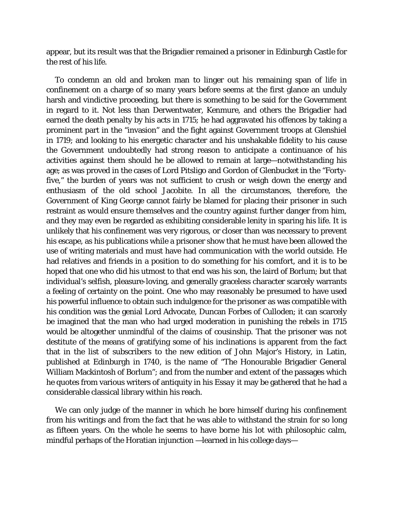appear, but its result was that the Brigadier remained a prisoner in Edinburgh Castle for the rest of his life.

To condemn an old and broken man to linger out his remaining span of life in confinement on a charge of so many years before seems at the first glance an unduly harsh and vindictive proceeding, but there is something to be said for the Government in regard to it. Not less than Derwentwater, Kenmure, and others the Brigadier had earned the death penalty by his acts in 1715; he had aggravated his offences by taking a prominent part in the "invasion" and the fight against Government troops at Glenshiel in 1719; and looking to his energetic character and his unshakable fidelity to his cause the Government undoubtedly had strong reason to anticipate a continuance of his activities against them should he be allowed to remain at large—notwithstanding his age; as was proved in the cases of Lord Pitsligo and Gordon of Glenbucket in the "Fortyfive," the burden of years was not sufficient to crush or weigh down the energy and enthusiasm of the old school Jacobite. In all the circumstances, therefore, the Government of King George cannot fairly be blamed for placing their prisoner in such restraint as would ensure themselves and the country against further danger from him, and they may even be regarded as exhibiting considerable lenity in sparing his life. It is unlikely that his confinement was very rigorous, or closer than was necessary to prevent his escape, as his publications while a prisoner show that he must have been allowed the use of writing materials and must have had communication with the world outside. He had relatives and friends in a position to do something for his comfort, and it is to be hoped that one who did his utmost to that end was his son, the laird of Borlum; but that individual's selfish, pleasure-loving, and generally graceless character scarcely warrants a feeling of certainty on the point. One who may reasonably be presumed to have used his powerful influence to obtain such indulgence for the prisoner as was compatible with his condition was the genial Lord Advocate, Duncan Forbes of Culloden; it can scarcely be imagined that the man who had urged moderation in punishing the rebels in 1715 would be altogether unmindful of the claims of cousinship. That the prisoner was not destitute of the means of gratifying some of his inclinations is apparent from the fact that in the list of subscribers to the new edition of John Major's History, in Latin, published at Edinburgh in 1740, is the name of "The Honourable Brigadier General William Mackintosh of Borlum"; and from the number and extent of the passages which he quotes from various writers of antiquity in his *Essay* it may be gathered that he had a considerable classical library within his reach.

We can only judge of the manner in which he bore himself during his confinement from his writings and from the fact that he was able to withstand the strain for so long as fifteen years. On the whole he seems to have borne his lot with philosophic calm, mindful perhaps of the Horatian injunction —learned in his college days—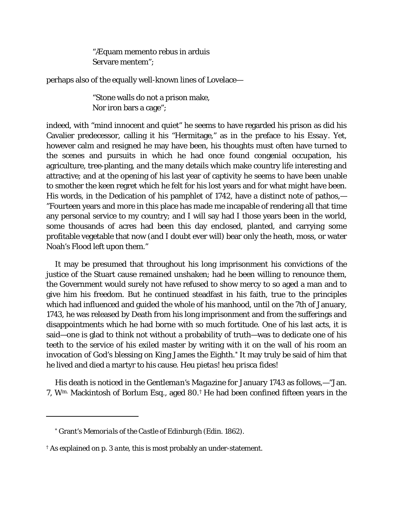"Æquam memento rebus in arduis Servare mentem";

perhaps also of the equally well-known lines of Lovelace—

"Stone walls do not a prison make, Nor iron bars a cage";

indeed, with "mind innocent and quiet" he seems to have regarded his prison as did his Cavalier predecessor, calling it his "Hermitage," as in the preface to his *Essay.* Yet, however calm and resigned he may have been, his thoughts must often have turned to the scenes and pursuits in which he had once found congenial occupation, his agriculture, tree-planting, and the many details which make country life interesting and attractive; and at the opening of his last year of captivity he seems to have been unable to smother the keen regret which he felt for his lost years and for what might have been. His words, in the Dedication of his pamphlet of 1742, have a distinct note of pathos,— "Fourteen years and more in this place has made me incapable of rendering all that time any personal service to my country; and I will say had I those years been in the world, some thousands of acres had been this day enclosed, planted, and carrying some profitable vegetable that now (and I doubt ever will) bear only the heath, moss, or water Noah's Flood left upon them."

It may be presumed that throughout his long imprisonment his convictions of the justice of the Stuart cause remained unshaken; had he been willing to renounce them, the Government would surely not have refused to show mercy to so aged a man and to give him his freedom. But he continued steadfast in his faith, true to the principles which had influenced and guided the whole of his manhood, until on the 7th of January, 1743, he was released by Death from his long imprisonment and from the sufferings and disappointments which he had borne with so much fortitude. One of his last acts, it is said—one is glad to think not without a probability of truth—was to dedicate one of his teeth to the service of his exiled master by writing with it on the wall of his room an invocation of God's blessing on King James the Eighth.[\\*](#page-42-0) It may truly be said of him that he lived and died a martyr to his cause. *Heu pietas! heu prisca fides!*

His death is noticed in the *Gentleman's Magazine* for January 1743 as follows,—"Jan. 7, Wm. Mackintosh of Borlum Esq., aged 80.[†](#page-42-1) He had been confined fifteen years in the

I

<sup>\*</sup> Grant's *Memorials of the Castle of Edinburgh* (Edin. 1862).

<span id="page-42-1"></span><span id="page-42-0"></span><sup>†</sup> As explained on p. 3 *ante,* this is most probably an under-statement.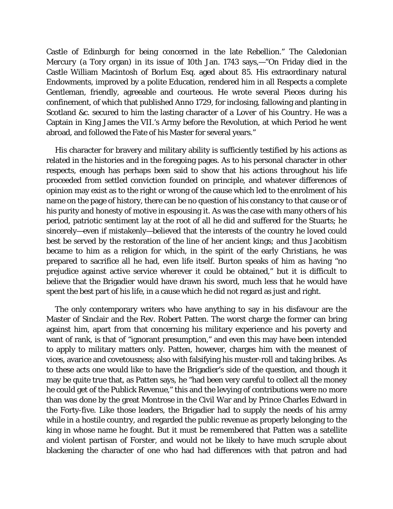Castle of Edinburgh for being concerned in the late Rebellion." The *Caledonian Mercury* (a Tory organ) in its issue of 10th Jan. 1743 says,—"On Friday died in the Castle William Macintosh of Borlum Esq. aged about 85. His extraordinary natural Endowments, improved by a polite Education, rendered him in all Respects a complete Gentleman, friendly, agreeable and courteous. He wrote several Pieces during his confinement, of which that published Anno 1729, for inclosing, fallowing and planting in Scotland &c. secured to him the lasting character of a *Lover of his Country.* He was a Captain in King James the VII.'s Army before the Revolution, at which Period he went abroad, and followed the Fate of his Master for several years."

His character for bravery and military ability is sufficiently testified by his actions as related in the histories and in the foregoing pages. As to his personal character in other respects, enough has perhaps been said to show that his actions throughout his life proceeded from settled conviction founded on principle, and whatever differences of opinion may exist as to the right or wrong of the cause which led to the enrolment of his name on the page of history, there can be no question of his constancy to that cause or of his purity and honesty of motive in espousing it. As was the case with many others of his period, patriotic sentiment lay at the root of all he did and suffered for the Stuarts; he sincerely—even if mistakenly—believed that the interests of the country he loved could best be served by the restoration of the line of her ancient kings; and thus Jacobitism became to him as a religion for which, in the spirit of the early Christians, he was prepared to sacrifice all he had, even life itself. Burton speaks of him as having "no prejudice against active service wherever it could be obtained," but it is difficult to believe that the Brigadier would have drawn his sword, much less that he would have spent the best part of his life, in a cause which he did not regard as just and right.

The only contemporary writers who have anything to say in his disfavour are the Master of Sinclair and the Rev. Robert Patten. The worst charge the former can bring against him, apart from that concerning his military experience and his poverty and want of rank, is that of "ignorant presumption," and even this may have been intended to apply to military matters only. Patten, however, charges him with the meanest of vices, avarice and covetousness; also with falsifying his muster-roll and taking bribes. As to these acts one would like to have the Brigadier's side of the question, and though it may be quite true that, as Patten says, he "had been very careful to collect all the money he could get of the Publick Revenue," this and the levying of contributions were no more than was done by the great Montrose in the Civil War and by Prince Charles Edward in the Forty-five. Like those leaders, the Brigadier had to supply the needs of his army while in a hostile country, and regarded the public revenue as properly belonging to the king in whose name he fought. But it must be remembered that Patten was a satellite and violent partisan of Forster, and would not be likely to have much scruple about blackening the character of one who had had differences with that patron and had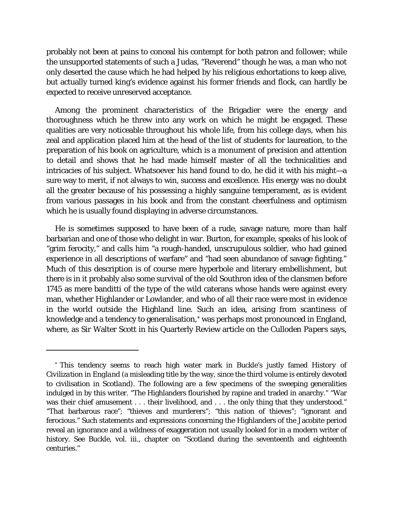probably not been at pains to conceal his contempt for both patron and follower; while the unsupported statements of such a Judas, "Reverend" though he was, a man who not only deserted the cause which he had helped by his religious exhortations to keep alive, but actually turned king's evidence against his former friends and flock, can hardly be expected to receive unreserved acceptance.

Among the prominent characteristics of the Brigadier were the energy and thoroughness which he threw into any work on which he might be engaged. These qualities are very noticeable throughout his whole life, from his college days, when his zeal and application placed him at the head of the list of students for laureation, to the preparation of his book on agriculture, which is a monument of precision and attention to detail and shows that he had made himself master of all the technicalities and intricacies of his subject. Whatsoever his hand found to do, he did it with his might—a sure way to merit, if not always to win, success and excellence. His energy was no doubt all the greater because of his possessing a highly sanguine temperament, as is evident from various passages in his book and from the constant cheerfulness and optimism which he is usually found displaying in adverse circumstances.

He is sometimes supposed to have been of a rude, savage nature, more than half barbarian and one of those who delight in war. Burton, for example, speaks of his look of "grim ferocity," and calls him "a rough-handed, unscrupulous soldier, who had gained experience in all descriptions of warfare" and "had seen abundance of savage fighting." Much of this description is of course mere hyperbole and literary embellishment, but there is in it probably also some survival of the old Southron idea of the clansmen before 1745 as mere banditti of the type of the wild caterans whose hands were against every man, whether Highlander or Lowlander, and who of all their race were most in evidence in the world outside the Highland line. Such an idea, arising from scantiness of knowledge and a tendency to generalisation,[\\*](#page-44-0) was perhaps most pronounced in England, where, as Sir Walter Scott in his Quarterly Review article on the *Culloden Papers* says,

<span id="page-44-0"></span><sup>\*</sup> This tendency seems to reach high water mark in Buckle's justly famed *History of Civilization in England* (a misleading title by the way, since the third volume is entirely devoted to civilisation in *Scotland).* The following are a few specimens of the sweeping generalities indulged in by this writer. "The Highlanders flourished by rapine and traded in anarchy." "War was their chief amusement . . . their livelihood, and . . . the only thing that they understood." "That barbarous race"; "thieves and murderers"; "this nation of thieves"; "ignorant and ferocious." Such statements and expressions concerning the Highlanders of the Jacobite period reveal an ignorance and a wildness of exaggeration not usually looked for in a modern writer of history. See Buckle, vol. iii., chapter on "Scotland during the seventeenth and eighteenth centuries."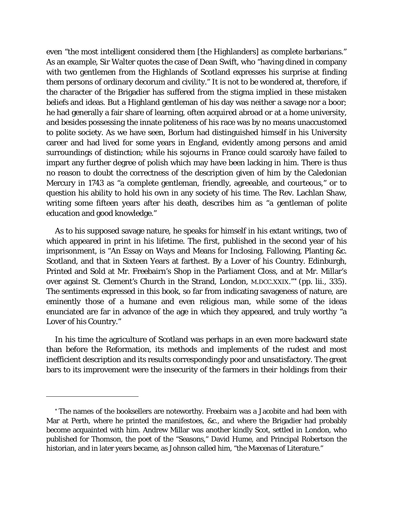even "the most intelligent considered them [the Highlanders] as complete barbarians." As an example, Sir Walter quotes the case of Dean Swift, who "having dined in company with two gentlemen from the Highlands of Scotland expresses his surprise at finding them persons of ordinary decorum and civility." It is not to be wondered at, therefore, if the character of the Brigadier has suffered from the stigma implied in these mistaken beliefs and ideas. But a Highland gentleman of his day was neither a savage nor a boor; he had generally a fair share of learning, often acquired abroad or at a home university, and besides possessing the innate politeness of his race was by no means unaccustomed to polite society. As we have seen, Borlum had distinguished himself in his University career and had lived for some years in England, evidently among persons and amid surroundings of distinction; while his sojourns in France could scarcely have failed to impart any further degree of polish which may have been lacking in him. There is thus no reason to doubt the correctness of the description given of him by the Caledonian Mercury in 1743 as "a complete gentleman, friendly, agreeable, and courteous," or to question his ability to hold his own in any society of his time. The Rev. Lachlan Shaw, writing some fifteen years after his death, describes him as "a gentleman of polite education and good knowledge."

As to his supposed savage nature, he speaks for himself in his extant writings, two of which appeared in print in his lifetime. The first, published in the second year of his imprisonment, is "An Essay on Ways and Means for Inclosing, Fallowing, Planting &c. Scotland, and that in Sixteen Years at farthest. By a Lover of his Country. Edinburgh, Printed and Sold at Mr. Freebairn's Shop in the Parliament Closs, and at Mr. Millar's over against St. Clement's Church in the Strand, London, M.DCC.XXIX."[\\*](#page-45-0) (pp. lii., 335). The sentiments expressed in this book, so far from indicating savageness of nature, are eminently those of a humane and even religious man, while some of the ideas enunciated are far in advance of the age in which they appeared, and truly worthy "a Lover of his Country."

In his time the agriculture of Scotland was perhaps in an even more backward state than before the Reformation, its methods and implements of the rudest and most inefficient description and its results correspondingly poor and unsatisfactory. The great bars to its improvement were the insecurity of the farmers in their holdings from their

I

<span id="page-45-0"></span><sup>\*</sup> The names of the booksellers are noteworthy. Freebairn was a Jacobite and had been with Mar at Perth, where he printed the manifestoes, &c., and where the Brigadier had probably become acquainted with him. Andrew Millar was another kindly Scot, settled in London, who published for Thomson, the poet of the "Seasons," David Hume, and Principal Robertson the historian, and in later years became, as Johnson called him, "the Mæcenas of Literature."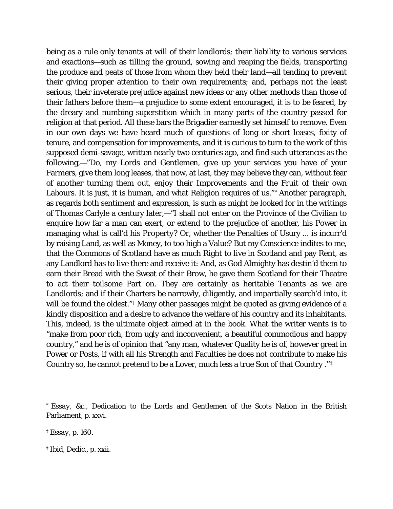being as a rule only tenants at will of their landlords; their liability to various services and exactions—such as tilling the ground, sowing and reaping the fields, transporting the produce and peats of those from whom they held their land—all tending to prevent their giving proper attention to their own requirements; and, perhaps not the least serious, their inveterate prejudice against new ideas or any other methods than those of their fathers before them—a prejudice to some extent encouraged, it is to be feared, by the dreary and numbing superstition which in many parts of the country passed for religion at that period. All these bars the Brigadier earnestly set himself to remove. Even in our own days we have heard much of questions of long or short leases, fixity of tenure, and compensation for improvements, and it is curious to turn to the work of this supposed demi-savage, written nearly two centuries ago, and find such utterances as the following,—"Do, my Lords and Gentlemen, give up your services you have of your Farmers, give them long leases, that now, at last, they may believe they can, without fear of another turning them out, enjoy their Improvements and the Fruit of their own Labours. It is just, it is human, and what Religion requires of us."[\\*](#page-46-0) Another paragraph, as regards both sentiment and expression, is such as might be looked for in the writings of Thomas Carlyle a century later,—"I shall not enter on the Province of the Civilian to enquire how far a man can exert, or extend to the prejudice of another, his Power in managing what is call'd his *Property?* Or, whether the Penalties of Usury ... is incurr'd by raising Land, as well as Money, to too high a Value? But my Conscience indites to me, that the Commons of Scotland have as much Right to live in Scotland and pay Rent, as any Landlord has to live there and receive it: And, as God Almighty has destin'd them to earn their Bread with the Sweat of their Brow, he gave them Scotland for their Theatre to act their toilsome Part on. They are certainly as heritable Tenants as we are Landlords; and if their Charters be narrowly, diligently, and impartially search'd into, it will be found the oldest."<sup>[†](#page-46-1)</sup> Many other passages might be quoted as giving evidence of a kindly disposition and a desire to advance the welfare of his country and its inhabitants. This, indeed, is the ultimate object aimed at in the book. What the writer wants is to "make from poor rich, from ugly and inconvenient, a beautiful commodious and happy country," and he is of opinion that "any man, whatever Quality he is of, however great in Power or Posts, if with all his Strength and Faculties he does not contribute to make his Country so, he cannot pretend to be a Lover, much less a true Son of that Country .''[‡](#page-46-2)

<span id="page-46-2"></span><span id="page-46-1"></span><span id="page-46-0"></span><sup>\*</sup> *Essay, &c*., Dedication to the Lords and Gentlemen of the Scots Nation in the British Parliament, p. xxvi.

<span id="page-46-3"></span><sup>†</sup> *Essay,* p. 160.

<sup>‡</sup> *Ibid,* Dedic., p. xxii.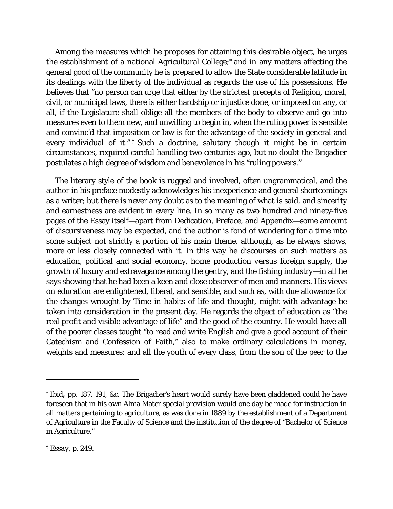Among the measures which he proposes for attaining this desirable object, he urges the establishment of a national Agricultural College[;\\*](#page-46-3) and in any matters affecting the general good of the community he is prepared to allow the State considerable latitude in its dealings with the liberty of the individual as regards the use of his possessions. He believes that "no person can urge that either by the strictest precepts of Religion, moral, civil, or municipal laws, there is either hardship or injustice done, or imposed on any, or all, if the Legislature shall oblige all the members of the body to observe and go into measures even to them new, and unwilling to begin in, when the ruling power is sensible and convinc'd that imposition or law is for the advantage of the society in general and every individual of it."<sup>[†](#page-47-0)</sup> Such a doctrine, salutary though it might be in certain circumstances, required careful handling two centuries ago, but no doubt the Brigadier postulates a high degree of wisdom and benevolence in his "ruling powers."

The literary style of the book is rugged and involved, often ungrammatical, and the author in his preface modestly acknowledges his inexperience and general shortcomings as a writer; but there is never any doubt as to the meaning of what is said, and sincerity and earnestness are evident in every line. In so many as two hundred and ninety-five pages of the Essay itself—apart from Dedication, Preface, and Appendix—some amount of discursiveness may be expected, and the author is fond of wandering for a time into some subject not strictly a portion of his main theme, although, as he always shows, more or less closely connected with it. In this way he discourses on such matters as education, political and social economy, home production *versus* foreign supply, the growth of luxury and extravagance among the gentry, and the fishing industry—in all he says showing that he had been a keen and close observer of men and manners. His views on education are enlightened, liberal, and sensible, and such as, with due allowance for the changes wrought by Time in habits of life and thought, might with advantage be taken into consideration in the present day. He regards the object of education as "the real profit and visible advantage of life" and the good of the country. He would have all of the poorer classes taught "to read and write English and give a good account of their Catechism and Confession of Faith," also to make ordinary calculations in money, weights and measures; and all the youth of every class, from the son of the peer to the

<sup>\*</sup> *Ibid,* pp. 187, 191, &c. The Brigadier's heart would surely have been gladdened could he have foreseen that in his own Alma Mater special provision would one day be made for instruction in all matters pertaining to agriculture, as was done in 1889 by the establishment of a Department of Agriculture in the Faculty of Science and the institution of the degree of "Bachelor of Science in Agriculture."

<span id="page-47-0"></span><sup>†</sup> *Essay,* p. 249.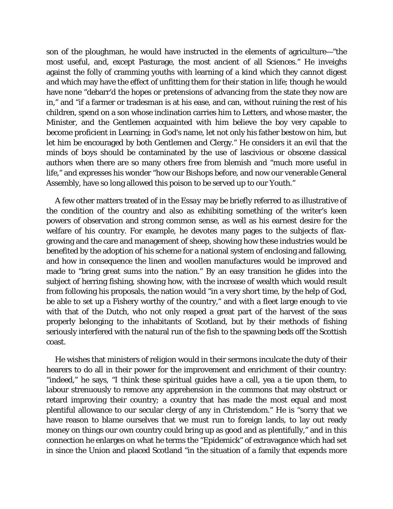son of the ploughman, he would have instructed in the elements of agriculture—"the most useful, and, except Pasturage, the most ancient of all Sciences." He inveighs against the folly of cramming youths with learning of a kind which they cannot digest and which may have the effect of unfitting them for their station in life; though he would have none "debarr'd the hopes or pretensions of advancing from the state they now are in," and "if a farmer or tradesman is at his ease, and can, without ruining the rest of his children, spend on a son whose inclination carries him to Letters, and whose master, the Minister, and the Gentlemen acquainted with him believe the boy very capable to become proficient in Learning; in God's name, let not only his father bestow on him, but let him be encouraged by both Gentlemen and Clergy." He considers it an evil that the minds of boys should be contaminated by the use of lascivious or obscene classical authors when there are so many others free from blemish and "much more useful in life," and expresses his wonder "how our Bishops before, and now our venerable General Assembly, have so long allowed this poison to be served up to our Youth."

A few other matters treated of in the *Essay* may be briefly referred to as illustrative of the condition of the country and also as exhibiting something of the writer's keen powers of observation and strong common sense, as well as his earnest desire for the welfare of his country. For example, he devotes many pages to the subjects of flaxgrowing and the care and management of sheep, showing how these industries would be benefited by the adoption of his scheme for a national system of enclosing and fallowing, and how in consequence the linen and woollen manufactures would be improved and made to "bring great sums into the nation." By an easy transition he glides into the subject of herring fishing, showing how, with the increase of wealth which would result from following his proposals, the nation would "in a very short time, by the help of God, be able to set up a Fishery worthy of the country," and with a fleet large enough to vie with that of the Dutch, who not only reaped a great part of the harvest of the seas properly belonging to the inhabitants of Scotland, but by their methods of fishing seriously interfered with the natural run of the fish to the spawning beds off the Scottish coast.

He wishes that ministers of religion would in their sermons inculcate the duty of their hearers to do all in their power for the improvement and enrichment of their country: "indeed," he says, "I think these spiritual guides have a call, yea a tie upon them, to labour strenuously to remove any apprehension in the commons that may obstruct or retard improving their country; a country that has made the most equal and most plentiful allowance to our secular clergy of any in Christendom." He is "sorry that we have reason to blame ourselves that we must run to foreign lands, to lay out ready money on things our own country could bring up as good and as plentifully," and in this connection he enlarges on what he terms the "Epidemick" of extravagance which had set in since the Union and placed Scotland "in the situation of a family that expends more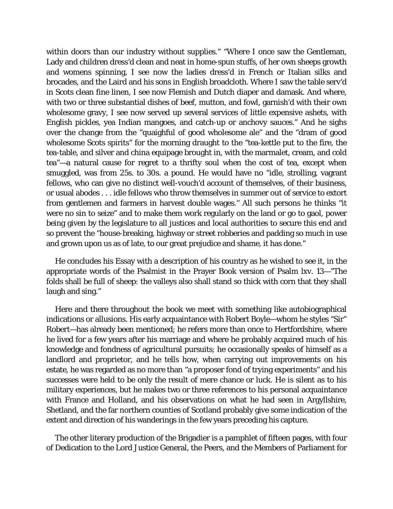within doors than our industry without supplies." "Where I once saw the Gentleman, Lady and children dress'd clean and neat in home-spun stuffs, of her own sheeps growth and womens spinning, I see now the ladies dress'd in French or Italian silks and brocades, and the Laird and his sons in English broadcloth. Where I saw the table serv'd in Scots clean fine linen, I see now Flemish and Dutch diaper and damask. And where, with two or three substantial dishes of beef, mutton, and fowl, garnish'd with their own wholesome gravy, I see now served up several services of little expensive ashets, with English pickles, yea Indian mangoes, and catch-up or anchovy sauces." And he sighs over the change from the "quaighful of good wholesome ale" and the "dram of good wholesome Scots spirits" for the morning draught to the "tea-kettle put to the fire, the tea-table, and silver and china equipage brought in, with the marmalet, cream, and cold tea"—a natural cause for regret to a thrifty soul when the cost of tea, except when smuggled, was from 25s. to 30s. a pound. He would have no "idle, strolling, vagrant fellows, who can give no distinct well-vouch'd account of themselves, of their business, or usual abodes . . . idle fellows who throw themselves in summer out of service to extort from gentlemen and farmers in harvest double wages." All such persons he thinks *"*it were no sin to seize" and to make them work regularly on the land or go to gaol, power being given by the legislature to all justices and local authorities to secure this end and so prevent the "house-breaking, highway or street robberies and padding so much in use and grown upon us as of late, to our great prejudice and shame, it has done."

He concludes his Essay with a description of his country as he wished to see it, in the appropriate words of the Psalmist in the Prayer Book version of Psalm lxv. 13—"The folds shall be full of sheep: the valleys also shall stand so thick with corn that they shall laugh and sing."

Here and there throughout the book we meet with something like autobiographical indications or allusions. His early acquaintance with Robert Boyle—whom he styles "Sir" Robert—has already been mentioned; he refers more than once to Hertfordshire, where he lived for a few years after his marriage and where he probably acquired much of his knowledge and fondness of agricultural pursuits; he occasionally speaks of himself as a landlord and proprietor, and he tells how, when carrying out improvements on his estate, he was regarded as no more than "a proposer fond of trying experiments" and his successes were held to be only the result of mere chance or luck. He is silent as to his military experiences, but he makes two or three references to his personal acquaintance with France and Holland, and his observations on what he had seen in Argyllshire, Shetland, and the far northern counties of Scotland probably give some indication of the extent and direction of his wanderings in the few years preceding his capture.

The other literary production of the Brigadier is a pamphlet of fifteen pages, with four of Dedication to the Lord Justice General, the Peers, and the Members of Parliament for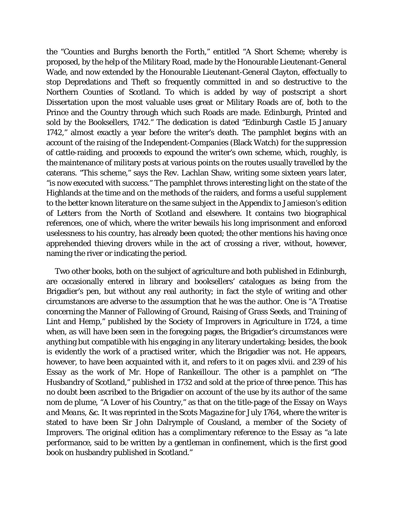the "Counties and Burghs benorth the Forth," entitled "A Short Scheme; whereby is proposed, by the help of the Military Road, made by the Honourable Lieutenant-General Wade, and now extended by the Honourable Lieutenant-General Clayton, effectually to stop Depredations and Theft so frequently committed in and so destructive to the Northern Counties of Scotland. To which is added by way of postscript a short Dissertation upon the most valuable uses great or Military Roads are of, both to the Prince and the Country through which such Roads are made. Edinburgh, Printed and sold by the Booksellers, 1742." The dedication is dated "Edinburgh Castle 15 January 1742," almost exactly a year before the writer's death. The pamphlet begins with an account of the raising of the Independent-Companies (Black Watch) for the suppression of cattle-raiding, and proceeds to expound the writer's own scheme, which, roughly, is the maintenance of military posts at various points on the routes usually travelled by the caterans. "This scheme," says the Rev. Lachlan Shaw, writing some sixteen years later, "is now executed with success." The pamphlet throws interesting light on the state of the Highlands at the time and on the methods of the raiders, and forms a useful supplement to the better known literature on the same subject in the Appendix to Jamieson's edition of *Letters from the North of Scotland* and elsewhere. It contains two biographical references, one of which, where the writer bewails his long imprisonment and enforced uselessness to his country, has already been quoted; the other mentions his having once apprehended thieving drovers while in the act of crossing a river, without, however, naming the river or indicating the period.

Two other books, both on the subject of agriculture and both published in Edinburgh, are occasionally entered in library and booksellers' catalogues as being from the Brigadier's pen, but without any real authority; in fact the style of writing and other circumstances are adverse to the assumption that he was the author. One is "A Treatise concerning the Manner of Fallowing of Ground, Raising of Grass Seeds, and Training of Lint and Hemp," published by the Society of Improvers in Agriculture in 1724, a time when, as will have been seen in the foregoing pages, the Brigadier's circumstances were anything but compatible with his engaging in any literary undertaking; besides, the book is evidently the work of a practised writer, which the Brigadier was not. He appears, however, to have been acquainted with it, and refers to it on pages xlvii. and 239 of his *Essay* as the work of Mr. Hope of Rankeillour. The other is a pamphlet on "The Husbandry of Scotland," published in 1732 and sold at the price of three pence. This has no doubt been ascribed to the Brigadier on account of the use by its author of the same *nom de plume,* "A Lover of his Country," as that on the title-page of the *Essay on Ways and Means, &c.* It was reprinted in the *Scots Magazine* for July 1764, where the writer is stated to have been Sir John Dalrymple of Cousland, a member of the Society of Improvers. The original edition has a complimentary reference to the *Essay* as "a late performance, said to be written by a gentleman in confinement, which is the first good book on husbandry published in Scotland."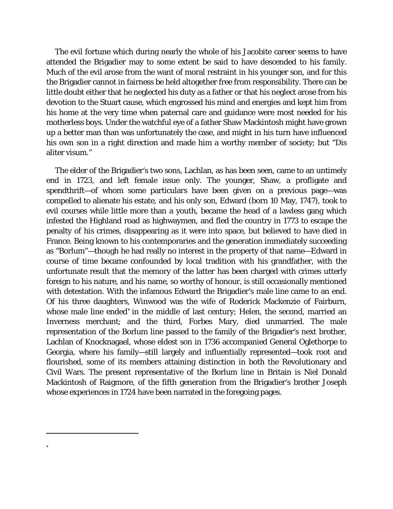The evil fortune which during nearly the whole of his Jacobite career seems to have attended the Brigadier may to some extent be said to have descended to his family. Much of the evil arose from the want of moral restraint in his younger son, and for this the Brigadier cannot in fairness be held altogether free from responsibility. There can be little doubt either that he neglected his duty as a father or that his neglect arose from his devotion to the Stuart cause, which engrossed his mind and energies and kept him from his home at the very time when paternal care and guidance were most needed for his motherless boys. Under the watchful eye of a father Shaw Mackintosh might have grown up a better man than was unfortunately the case, and might in his turn have influenced his own son in a right direction and made him a worthy member of society; but "Dis aliter visum."

The elder of the Brigadier's two sons, Lachlan, as has been seen, came to an untimely end in 1723, and left female issue only. The younger, Shaw, a profligate and spendthrift—of whom some particulars have been given on a previous page—was compelled to alienate his estate, and his only son, Edward (born 10 May, 1747), took to evil courses while little more than a youth, became the head of a lawless gang which infested the Highland road as highwaymen, and fled the country in 1773 to escape the penalty of his crimes, disappearing as it were into space, but believed to have died in France. Being known to his contemporaries and the generation immediately succeeding as "Borlum"—though he had really no interest in the property of that name—Edward in course of time became confounded by local tradition with his grandfather, with the unfortunate result that the memory of the latter has been charged with crimes utterly foreign to his nature, and his name, so worthy of honour, is still occasionally mentioned with detestation. With the infamous Edward the Brigadier's male line came to an end. Of his three daughters, Winwood was the wife of Roderick Mackenzie of Fairburn, whose male line ended<sup>[\\*](#page-51-0)</sup> in the middle of last century; Helen, the second, married an Inverness merchant; and the third, Forbes Mary, died unmarried. The male representation of the Borlum line passed to the family of the Brigadier's next brother, Lachlan of Knocknagael, whose eldest son in 1736 accompanied General Oglethorpe to Georgia, where his family—still largely and influentially represented—took root and flourished, some of its members attaining distinction in both the Revolutionary and Civil Wars. The present representative of the Borlum line in Britain is Niel Donald Mackintosh of Raigmore, of the fifth generation from the Brigadier's brother Joseph whose experiences in 1724 have been narrated in the foregoing pages.

i<br>I

<span id="page-51-0"></span>\*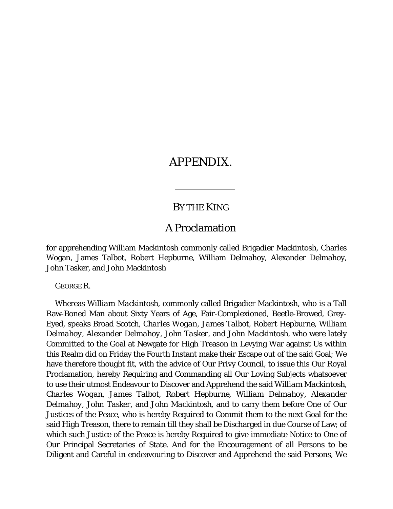## APPENDIX.

### BY THE KING

### A Proclamation

for apprehending William Mackintosh commonly called Brigadier Mackintosh, Charles Wogan, James Talbot, Robert Hepburne, William Delmahoy, Alexander Delmahoy, John Tasker, and John Mackintosh

GEORGE R.

Whereas *William Mackintosh,* commonly called Brigadier Mackintosh, who is a Tall Raw-Boned Man about Sixty Years of Age, Fair-Complexioned, Beetle-Browed, Grey-Eyed, speaks Broad Scotch, *Charles Wogan, James Talbot, Robert Hepburne, William Delmahoy, Alexander Delmahoy, John Tasker,* and *John Mackintosh,* who were lately Committed to the Goal at Newgate for High Treason in Levying War against Us within this Realm did on Friday the Fourth Instant make their Escape out of the said Goal; We have therefore thought fit, with the advice of Our Privy Council, to issue this Our Royal Proclamation, hereby Requiring and Commanding all Our Loving Subjects whatsoever to use their utmost Endeavour to Discover and Apprehend the said *William Mackintosh, Charles Wogan, James Talbot, Robert Hepburne, William Delmahoy, Alexander Delmahoy, John Tasker,* and *John Mackintosh,* and to carry them before One of Our Justices of the Peace, who is hereby Required to Commit them to the next Goal for the said High Treason, there to remain till they shall be Discharged in due Course of Law; of which such Justice of the Peace is hereby Required to give immediate Notice to One of Our Principal Secretaries of State. And for the Encouragement of all Persons to be Diligent and Careful in endeavouring to Discover and Apprehend the said Persons, We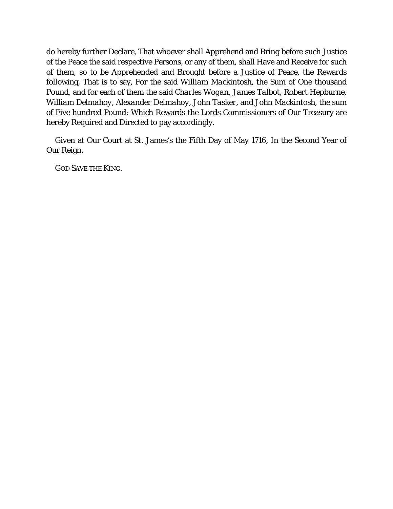do hereby further Declare, That whoever shall Apprehend and Bring before such Justice of the Peace the said respective Persons, or any of them, shall Have and Receive for such of them, so to be Apprehended and Brought before a Justice of Peace, the Rewards following, That is to say, For the said *William Mackintosh,* the Sum of One thousand Pound, and for each of them the said *Charles Wogan, James Talbot, Robert Hepburne, William Delmahoy, Alexander Delmahoy, John Tasker,* and *John Mackintosh,* the sum of Five hundred Pound: Which Rewards the Lords Commissioners of Our Treasury are hereby Required and Directed to pay accordingly.

Given at Our Court at St. James's the Fifth Day of May 1716, In the Second Year of Our Reign.

GOD SAVE THE KING.